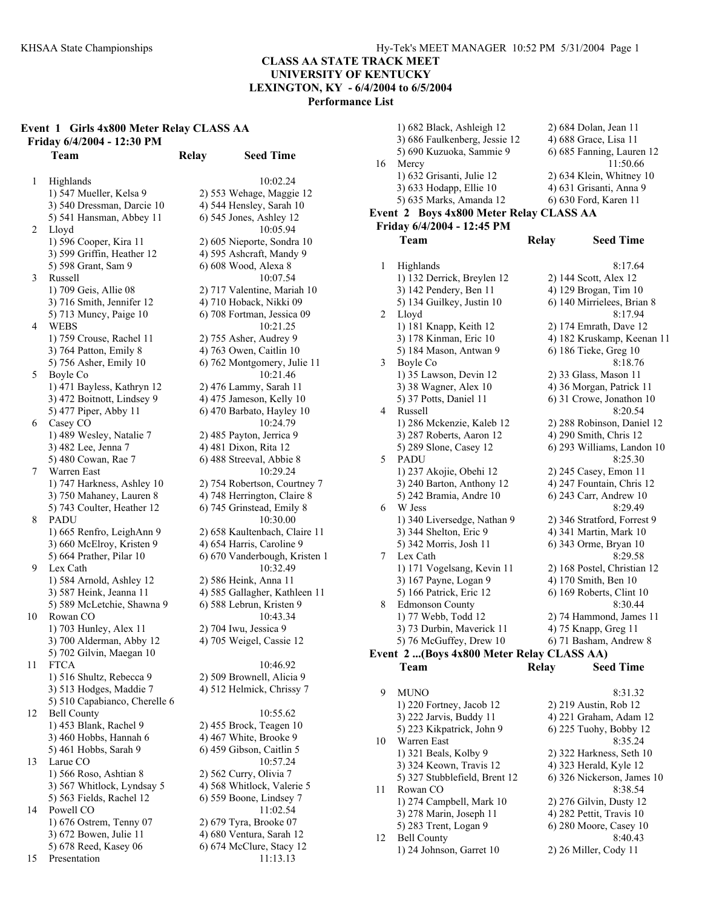### **CLASS AA STATE TRACK MEET UNIVERSITY OF KENTUCKY LEXINGTON, KY - 6/4/2004 to 6/5/2004**

**Performance List** 

## **Event 1 Girls 4x800 Meter Relay CLASS AA Friday 6/4/2004 - 12:30 PM**

1 Highlands 10:02.24 1) 547 Mueller, Kelsa 9 2) 553 Wehage, Maggie 12 3) 540 Dressman, Darcie 10 4) 544 Hensley, Sarah 10 5) 541 Hansman, Abbey 11 6) 545 Jones, Ashley 12 2 Lloyd 10:05.94 1) 596 Cooper, Kira 11 2) 605 Nieporte, Sondra 10 3) 599 Griffin, Heather 12 4) 595 Ashcraft, Mandy 9 5) 598 Grant, Sam 9 6) 608 Wood, Alexa 8 3 Russell 10:07.54 1) 709 Geis, Allie 08 2) 717 Valentine, Mariah 10 3) 716 Smith, Jennifer 12 4) 710 Hoback, Nikki 09 5) 713 Muncy, Paige 10 6) 708 Fortman, Jessica 09 4 WEBS 10:21.25 1) 759 Crouse, Rachel 11 2) 755 Asher, Audrey 9 3) 764 Patton, Emily 8 4) 763 Owen, Caitlin 10 5) 756 Asher, Emily 10 6) 762 Montgomery, Julie 11 5 Boyle Co 10:21.46 1) 471 Bayless, Kathryn 12 2) 476 Lammy, Sarah 11  $3)$  472 Boitnott, Lindsey 9  $4)$  475 Jameson, Kelly 10 5) 477 Piper, Abby 11 6) 470 Barbato, Hayley 10 6 Casey CO 10:24.79 1) 489 Wesley, Natalie 7 2) 485 Payton, Jerrica 9 3) 482 Lee, Jenna 7 4) 481 Dixon, Rita 12 5) 480 Cowan, Rae 7 6) 488 Streeval, Abbie 8 7 Warren East 10:29.24 1) 747 Harkness, Ashley 10 2) 754 Robertson, Courtney 7 3) 750 Mahaney, Lauren 8 4) 748 Herrington, Claire 8 5) 743 Coulter, Heather 12 6) 745 Grinstead, Emily 8 8 PADU 10:30.00 1) 665 Renfro, LeighAnn 9 2) 658 Kaultenbach, Claire 11 3) 660 McElroy, Kristen 9 4) 654 Harris, Caroline 9 5) 664 Prather, Pilar 10 6) 670 Vanderbough, Kristen 1 9 Lex Cath 10:32.49 1) 584 Arnold, Ashley 12 2) 586 Heink, Anna 11 3) 587 Heink, Jeanna 11 4) 585 Gallagher, Kathleen 11 5) 589 McLetchie, Shawna 9 6) 588 Lebrun, Kristen 9 10 Rowan CO 10:43.34 1) 703 Hunley, Alex 11 2) 704 Iwu, Jessica 9 3) 700 Alderman, Abby 12 4) 705 Weigel, Cassie 12 5) 702 Gilvin, Maegan 10 11 FTCA 10:46.92 1) 516 Shultz, Rebecca 9 2) 509 Brownell, Alicia 9 3) 513 Hodges, Maddie 7 4) 512 Helmick, Chrissy 7 5) 510 Capabianco, Cherelle 6 12 Bell County 10:55.62 1) 453 Blank, Rachel 9 2) 455 Brock, Teagen 10 3) 460 Hobbs, Hannah 6 4) 467 White, Brooke 9 5) 461 Hobbs, Sarah 9 6) 459 Gibson, Caitlin 5 13 Larue CO 10:57.24 1) 566 Roso, Ashtian 8 2) 562 Curry, Olivia 7 3) 567 Whitlock, Lyndsay 5 4) 568 Whitlock, Valerie 5 5) 563 Fields, Rachel 12 6) 559 Boone, Lindsey 7 14 Powell CO 11:02.54 1) 676 Ostrem, Tenny 07 2) 679 Tyra, Brooke 07 3) 672 Bowen, Julie 11 4) 680 Ventura, Sarah 12 5) 678 Reed, Kasey 06 6) 674 McClure, Stacy 12 15 Presentation 11:13.13

**Team Relay Seed Time** 

|    | 1) 682 Black, Ashleigh 12                 | 2) 684 Dolan, Jean 11            |
|----|-------------------------------------------|----------------------------------|
|    | 3) 686 Faulkenberg, Jessie 12             | 4) 688 Grace, Lisa 11            |
|    | 5) 690 Kuzuoka, Sammie 9                  | 6) 685 Fanning, Lauren 12        |
| 16 | Mercy                                     | 11:50.66                         |
|    | 1) 632 Grisanti, Julie 12                 | 2) 634 Klein, Whitney 10         |
|    | 3) 633 Hodapp, Ellie 10                   | 4) 631 Grisanti, Anna 9          |
|    | 5) 635 Marks, Amanda 12                   | 6) 630 Ford, Karen 11            |
|    | Event 2 Boys 4x800 Meter Relay CLASS AA   |                                  |
|    |                                           |                                  |
|    | Friday 6/4/2004 - 12:45 PM                |                                  |
|    | Team                                      | <b>Relay</b><br><b>Seed Time</b> |
|    |                                           |                                  |
| 1  | Highlands                                 | 8:17.64                          |
|    | 1) 132 Derrick, Breylen 12                | 2) 144 Scott, Alex 12            |
|    | 3) 142 Pendery, Ben 11                    | 4) 129 Brogan, Tim 10            |
|    | 5) 134 Guilkey, Justin 10                 | 6) 140 Mirrielees, Brian 8       |
| 2  | Lloyd                                     | 8:17.94                          |
|    | 1) 181 Knapp, Keith 12                    | 2) 174 Emrath, Dave 12           |
|    | 3) 178 Kinman, Eric 10                    | 4) 182 Kruskamp, Keenan 11       |
|    | 5) 184 Mason, Antwan 9                    | 6) 186 Tieke, Greg 10            |
| 3  | Boyle Co                                  | 8:18.76                          |
|    | 1) 35 Lawson, Devin 12                    | 2) 33 Glass, Mason 11            |
|    | 3) 38 Wagner, Alex 10                     | 4) 36 Morgan, Patrick 11         |
|    | 5) 37 Potts, Daniel 11                    | 6) 31 Crowe, Jonathon 10         |
| 4  | Russell                                   | 8:20.54                          |
|    | 1) 286 Mckenzie, Kaleb 12                 | 2) 288 Robinson, Daniel 12       |
|    | 3) 287 Roberts, Aaron 12                  | 4) 290 Smith, Chris 12           |
|    | 5) 289 Slone, Casey 12                    | 6) 293 Williams, Landon 10       |
| 5  | PADU                                      | 8:25.30                          |
|    | 1) 237 Akojie, Obehi 12                   | 2) 245 Casey, Emon 11            |
|    | 3) 240 Barton, Anthony 12                 | 4) 247 Fountain, Chris 12        |
|    | 5) 242 Bramia, Andre 10                   | 6) 243 Carr, Andrew 10           |
| 6  | W Jess                                    | 8:29.49                          |
|    | 1) 340 Liversedge, Nathan 9               | 2) 346 Stratford, Forrest 9      |
|    | 3) 344 Shelton, Eric 9                    | 4) 341 Martin, Mark 10           |
|    | 5) 342 Morris, Josh 11                    | 6) 343 Orme, Bryan 10            |
|    |                                           | 8:29.58                          |
| 7  | Lex Cath                                  |                                  |
|    | 1) 171 Vogelsang, Kevin 11                | 2) 168 Postel, Christian 12      |
|    | 3) 167 Payne, Logan 9                     | 4) 170 Smith, Ben 10             |
|    | 5) 166 Patrick, Eric 12                   | 6) 169 Roberts, Clint 10         |
| 8  | Edmonson County                           | 8:30.44                          |
|    | 1) 77 Webb, Todd 12                       | 2) 74 Hammond, James 11          |
|    | 3) 73 Durbin, Maverick 11                 | 4) 75 Knapp, Greg 11             |
|    | 5) 76 McGuffey, Drew 10                   | 6) 71 Basham, Andrew 8           |
|    | Event 2 (Boys 4x800 Meter Relay CLASS AA) |                                  |
|    | Team                                      | Relay<br><b>Seed Time</b>        |
|    |                                           |                                  |
| 9  | <b>MUNO</b>                               | 8:31.32                          |
|    | 1) 220 Fortney, Jacob 12                  | 2) 219 Austin, Rob 12            |
|    | 3) 222 Jarvis, Buddy 11                   | 4) 221 Graham, Adam 12           |
|    | 5) 223 Kikpatrick, John 9                 | 6) 225 Tuohy, Bobby 12           |
| 10 | Warren East                               | 8:35.24                          |
|    | 1) 321 Beals, Kolby 9                     | 2) 322 Harkness, Seth 10         |
|    | 3) 324 Keown, Travis 12                   | 4) 323 Herald, Kyle 12           |
|    | 5) 327 Stubblefield, Brent 12             | 6) 326 Nickerson, James 10       |
| 11 | Rowan CO                                  | 8:38.54                          |
|    | 1) 274 Campbell, Mark 10                  | 2) 276 Gilvin, Dusty 12          |
|    | 3) 278 Marin, Joseph 11                   | 4) 282 Pettit, Travis 10         |
|    | 5) 283 Trent, Logan 9                     | 6) 280 Moore, Casey 10           |
|    |                                           |                                  |

12 Bell County 8:40.43 1) 24 Johnson, Garret 10 2) 26 Miller, Cody 11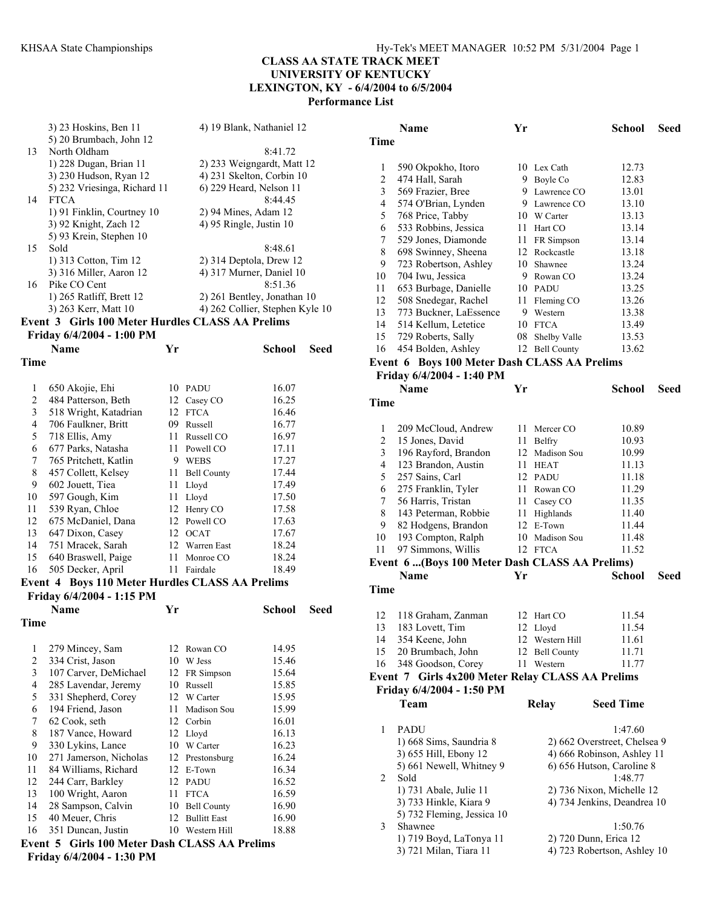|                         | 3) 23 Hoskins, Ben 11                            |    |                | 4) 19 Blank, Nathaniel 12       |      |  |
|-------------------------|--------------------------------------------------|----|----------------|---------------------------------|------|--|
| 13                      | 5) 20 Brumbach, John 12<br>North Oldham          |    |                | 8:41.72                         |      |  |
|                         |                                                  |    |                |                                 |      |  |
|                         | 1) 228 Dugan, Brian 11                           |    |                | 2) 233 Weigngardt, Matt 12      |      |  |
|                         | 3) 230 Hudson, Ryan 12                           |    |                | 4) 231 Skelton, Corbin 10       |      |  |
|                         | 5) 232 Vriesinga, Richard 11                     |    |                | 6) 229 Heard, Nelson 11         |      |  |
| 14                      | <b>FTCA</b>                                      |    |                | 8:44.45                         |      |  |
|                         | 1) 91 Finklin, Courtney 10                       |    |                | 2) 94 Mines, Adam 12            |      |  |
|                         | 3) 92 Knight, Zach 12                            |    |                | 4) 95 Ringle, Justin 10         |      |  |
|                         | 5) 93 Krein, Stephen 10                          |    |                |                                 |      |  |
| 15                      | Sold                                             |    |                | 8:48.61                         |      |  |
|                         | 1) 313 Cotton, Tim 12                            |    |                | $2)$ 314 Deptola, Drew 12       |      |  |
|                         | 3) 316 Miller, Aaron 12                          |    |                | 4) 317 Murner, Daniel 10        |      |  |
| 16                      | Pike CO Cent                                     |    |                | 8:51.36                         |      |  |
|                         | 1) 265 Ratliff, Brett 12                         |    |                | 2) 261 Bentley, Jonathan 10     |      |  |
|                         | 3) 263 Kerr, Matt 10                             |    |                | 4) 262 Collier, Stephen Kyle 10 |      |  |
|                         | Event 3 Girls 100 Meter Hurdles CLASS AA Prelims |    |                |                                 |      |  |
|                         | Friday 6/4/2004 - 1:00 PM                        |    |                |                                 |      |  |
|                         | <b>Name</b>                                      | Yr |                | <b>School</b>                   | Seed |  |
| Time                    |                                                  |    |                |                                 |      |  |
| 1                       | 650 Akojie, Ehi                                  |    | 10 PADU        | 16.07                           |      |  |
| $\overline{c}$          | 484 Patterson, Beth                              |    | 12 Casey CO    | 16.25                           |      |  |
| $\overline{\mathbf{3}}$ | 518 Wright, Katadrian                            |    | 12 FTCA        | 16.46                           |      |  |
| $\overline{4}$          | 706 Faulkner, Britt                              |    | 09 Russell     | 16.77                           |      |  |
| 5                       | 718 Ellis, Amy                                   |    | 11 Russell CO  | 16.97                           |      |  |
| 6                       | 677 Parks, Natasha                               |    | 11 Powell CO   | 17.11                           |      |  |
| $\tau$                  | 765 Pritchett, Katlin                            |    | 9 WEBS         | 17.27                           |      |  |
| $\,$ $\,$               | 457 Collett, Kelsey                              |    | 11 Bell County | 17.44                           |      |  |
| 9                       | 602 Jouett, Tiea                                 |    | 11 Lloyd       | 17.49                           |      |  |
| 10                      | 597 Gough, Kim                                   |    | 11 Lloyd       | 17.50                           |      |  |
| 11                      | 539 Ryan, Chloe                                  |    | 12 Henry CO    | 17.58                           |      |  |
| 12                      | 675 McDaniel, Dana                               |    | 12 Powell CO   | 17.63                           |      |  |
| 13                      | 647 Dixon, Casey                                 |    | 12 OCAT        | 17.67                           |      |  |
| 14                      | 751 Mracek, Sarah                                |    | 12 Warren East | 18.24                           |      |  |
| 15                      | 640 Braswell, Paige                              |    | 11 Monroe CO   | 18.24                           |      |  |
| 16                      | 505 Decker, April                                | 11 | Fairdale       | 18.49                           |      |  |
|                         | Event 4 Boys 110 Meter Hurdles CLASS AA Prelims  |    |                |                                 |      |  |
|                         | Friday 6/4/2004 - 1:15 PM                        |    |                |                                 |      |  |

**Name Yr School Seed Time**  279 Mincey, Sam 12 Rowan CO 14.95 334 Crist, Jason 10 W Jess 15.46 107 Carver, DeMichael 12 FR Simpson 15.64 285 Lavendar, Jeremy 10 Russell 15.85 331 Shepherd, Corey 12 W Carter 15.95 194 Friend, Jason 11 Madison Sou 15.99 62 Cook, seth 12 Corbin 16.01 187 Vance, Howard 12 Lloyd 16.13 330 Lykins, Lance 10 W Carter 16.23 271 Jamerson, Nicholas 12 Prestonsburg 16.24 84 Williams, Richard 12 E-Town 16.34 12 244 Carr, Barkley 12 PADU 16.52<br>13 100 Wright, Aaron 11 FTCA 16.59 13 100 Wright, Aaron 11 FTCA 16.59<br>14 28 Sampson, Calvin 10 Bell County 16.90 14 28 Sampson, Calvin 10 Bell County 40 Meuer, Chris 12 Bullitt East 16.90 351 Duncan, Justin 10 Western Hill 18.88 **Event 5 Girls 100 Meter Dash CLASS AA Prelims** 

**Friday 6/4/2004 - 1:30 PM** 

|                | <b>Name</b>                                      | Yr |                 | School                       | Seed |
|----------------|--------------------------------------------------|----|-----------------|------------------------------|------|
| Time           |                                                  |    |                 |                              |      |
|                |                                                  |    |                 |                              |      |
| $\mathbf{1}$   |                                                  |    | 10 Lex Cath     | 12.73                        |      |
|                | 590 Okpokho, Itoro                               | 9. |                 |                              |      |
| 2              | 474 Hall, Sarah                                  |    | Boyle Co        | 12.83                        |      |
| 3              | 569 Frazier, Bree                                |    | 9 Lawrence CO   | 13.01                        |      |
| $\overline{4}$ | 574 O'Brian, Lynden                              |    | 9 Lawrence CO   | 13.10                        |      |
| 5              | 768 Price, Tabby                                 |    | 10 W Carter     | 13.13                        |      |
| 6              | 533 Robbins, Jessica                             |    | 11 Hart CO      | 13.14                        |      |
| 7              | 529 Jones, Diamonde                              |    | 11 FR Simpson   | 13.14                        |      |
| 8              | 698 Swinney, Sheena                              |    | 12 Rockcastle   | 13.18                        |      |
| 9              | 723 Robertson, Ashley                            |    | 10 Shawnee      | 13.24                        |      |
| 10             | 704 Iwu, Jessica                                 |    | 9 Rowan CO      | 13.24                        |      |
| 11             | 653 Burbage, Danielle                            |    | 10 PADU         | 13.25                        |      |
| 12             | 508 Snedegar, Rachel                             | 11 | Fleming CO      | 13.26                        |      |
| 13             | 773 Buckner, LaEssence                           | 9. | Western         | 13.38                        |      |
| 14             | 514 Kellum, Letetice                             | 10 | <b>FTCA</b>     | 13.49                        |      |
| 15             | 729 Roberts, Sally                               | 08 | Shelby Valle    | 13.53                        |      |
| 16             | 454 Bolden, Ashley                               |    | 12 Bell County  | 13.62                        |      |
|                |                                                  |    |                 |                              |      |
|                | Event 6 Boys 100 Meter Dash CLASS AA Prelims     |    |                 |                              |      |
|                | Friday 6/4/2004 - 1:40 PM                        |    |                 |                              |      |
|                | <b>Name</b>                                      | Yr |                 | <b>School</b>                | Seed |
| <b>Time</b>    |                                                  |    |                 |                              |      |
|                |                                                  |    |                 |                              |      |
| 1              | 209 McCloud, Andrew                              | 11 | Mercer CO       | 10.89                        |      |
| 2              | 15 Jones, David                                  | 11 | Belfry          | 10.93                        |      |
| 3              | 196 Rayford, Brandon                             |    | 12 Madison Sou  | 10.99                        |      |
| 4              |                                                  |    | 11 HEAT         |                              |      |
|                | 123 Brandon, Austin                              |    |                 | 11.13                        |      |
| 5              | 257 Sains, Carl                                  |    | 12 PADU         | 11.18                        |      |
| 6              | 275 Franklin, Tyler                              | 11 | Rowan CO        | 11.29                        |      |
| 7              | 56 Harris, Tristan                               |    | 11 Casey CO     | 11.35                        |      |
| 8              | 143 Peterman, Robbie                             | 11 | Highlands       | 11.40                        |      |
| 9              | 82 Hodgens, Brandon                              |    | 12 E-Town       | 11.44                        |      |
| 10             | 193 Compton, Ralph                               |    | 10 Madison Sou  | 11.48                        |      |
| 11             | 97 Simmons, Willis                               |    | 12 FTCA         | 11.52                        |      |
|                | Event 6 (Boys 100 Meter Dash CLASS AA Prelims)   |    |                 |                              |      |
|                | Name                                             | Yr |                 | <b>School</b>                | Seed |
| Time           |                                                  |    |                 |                              |      |
|                |                                                  |    |                 |                              |      |
|                |                                                  |    |                 |                              |      |
| 12             | 118 Graham, Zanman                               |    | 12 Hart CO      | 11.54                        |      |
| 13             | 183 Lovett, Tim                                  | 12 | Lloyd           | 11.54                        |      |
| 14             | 354 Keene, John                                  |    | 12 Western Hill | 11.61                        |      |
| 15             | 20 Brumbach, John                                |    | 12 Bell County  | 11.71                        |      |
| 16             | 348 Goodson, Corey                               | 11 | Western         | 11.77                        |      |
|                | Event 7 Girls 4x200 Meter Relay CLASS AA Prelims |    |                 |                              |      |
|                | Friday 6/4/2004 - 1:50 PM                        |    |                 |                              |      |
|                | Team                                             |    | <b>Relay</b>    | <b>Seed Time</b>             |      |
|                |                                                  |    |                 |                              |      |
|                |                                                  |    |                 |                              |      |
| 1              | PADU                                             |    |                 | 1:47.60                      |      |
|                | 1) 668 Sims, Saundria 8                          |    |                 | 2) 662 Overstreet, Chelsea 9 |      |
|                | 3) 655 Hill, Ebony 12                            |    |                 | 4) 666 Robinson, Ashley 11   |      |
|                | 5) 661 Newell, Whitney 9                         |    |                 | 6) 656 Hutson, Caroline 8    |      |
| 2              | Sold                                             |    |                 | 1:48.77                      |      |
|                | 1) 731 Abale, Julie 11                           |    |                 | 2) 736 Nixon, Michelle 12    |      |
|                | 3) 733 Hinkle, Kiara 9                           |    |                 | 4) 734 Jenkins, Deandrea 10  |      |
|                | 5) 732 Fleming, Jessica 10                       |    |                 |                              |      |
| 3              | Shawnee                                          |    |                 | 1:50.76                      |      |
|                | 1) 719 Boyd, LaTonya 11                          |    |                 | 2) 720 Dunn, Erica 12        |      |
|                | 3) 721 Milan, Tiara 11                           |    |                 | 4) 723 Robertson, Ashley 10  |      |
|                |                                                  |    |                 |                              |      |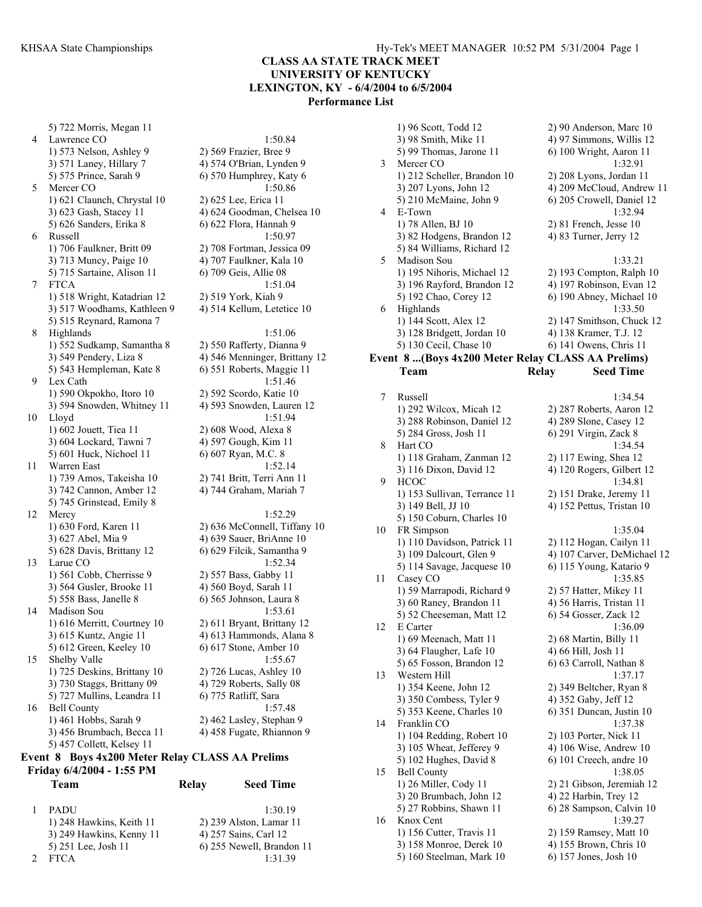5) 722 Morris, Megan 11 4 Lawrence CO 1:50.84 1) 573 Nelson, Ashley 9 2) 569 Frazier, Bree 9 3) 571 Laney, Hillary 7 4) 574 O'Brian, Lynden 9 5) 575 Prince, Sarah 9 6) 570 Humphrey, Katy 6 5 Mercer CO 1:50.86 1) 621 Claunch, Chrystal 10 2) 625 Lee, Erica 11 3) 623 Gash, Stacey 11 4) 624 Goodman, Chelsea 10 5) 626 Sanders, Erika 8 6) 622 Flora, Hannah 9 6 Russell 1:50.97 1) 706 Faulkner, Britt 09 2) 708 Fortman, Jessica 09 3) 713 Muncy, Paige 10 4) 707 Faulkner, Kala 10 5) 715 Sartaine, Alison 11 6) 709 Geis, Allie 08 7 FTCA 1:51.04 1) 518 Wright, Katadrian 12 2) 519 York, Kiah 9 3) 517 Woodhams, Kathleen 9 4) 514 Kellum, Letetice 10 5) 515 Reynard, Ramona 7 8 Highlands 1:51.06 1) 552 Sudkamp, Samantha 8 2) 550 Rafferty, Dianna 9 3) 549 Pendery, Liza 8 4) 546 Menninger, Brittany 12 5) 543 Hempleman, Kate 8 6) 551 Roberts, Maggie 11 Lex Cath  $1:51.46$ 1) 590 Okpokho, Itoro 10 2) 592 Scordo, Katie 10 3) 594 Snowden, Whitney 11 4) 593 Snowden, Lauren 12 10 Lloyd 1:51.94 1) 602 Jouett, Tiea 11 2) 608 Wood, Alexa 8<br>3) 604 Lockard, Tawni 7 4) 597 Gough, Kim 11 3) 604 Lockard, Tawni 7 5) 601 Huck, Nichoel 11 6) 607 Ryan, M.C. 8 11 Warren East 1:52.14 1) 739 Amos, Takeisha 10 2) 741 Britt, Terri Ann 11 3) 742 Cannon, Amber 12 4) 744 Graham, Mariah 7 5) 745 Grinstead, Emily 8 12 Mercy 1:52.29 1) 630 Ford, Karen 11 2) 636 McConnell, Tiffany 10 3) 627 Abel, Mia 9 4) 639 Sauer, BriAnne 10 5) 628 Davis, Brittany 12 6) 629 Filcik, Samantha 9 13 Larue CO 1:52.34 1) 561 Cobb, Cherrisse 9 2) 557 Bass, Gabby 11 3) 564 Gusler, Brooke 11 4) 560 Boyd, Sarah 11 5) 558 Bass, Janelle 8 6) 565 Johnson, Laura 8 14 Madison Sou 1:53.61 1) 616 Merritt, Courtney 10 2) 611 Bryant, Brittany 12 3) 615 Kuntz, Angie 11 4) 613 Hammonds, Alana 8 5) 612 Green, Keeley 10 6) 617 Stone, Amber 10 15 Shelby Valle 1:55.67 1) 725 Deskins, Brittany 10 2) 726 Lucas, Ashley 10 3) 730 Staggs, Brittany 09 4) 729 Roberts, Sally 08 5) 727 Mullins, Leandra 11  $\qquad$  6) 775 Ratliff, Sara 16 Bell County 1:57.48 1) 461 Hobbs, Sarah 9 2) 462 Lasley, Stephan 9 3) 456 Brumbach, Becca 11 4) 458 Fugate, Rhiannon 9 5) 457 Collett, Kelsey 11 **Event 8 Boys 4x200 Meter Relay CLASS AA Prelims Friday 6/4/2004 - 1:55 PM Team Relay Seed Time** 

| <b>PADU</b>              | 1.3019                    |
|--------------------------|---------------------------|
| 1) 248 Hawkins, Keith 11 | 2) 239 Alston, Lamar 11   |
| 3) 249 Hawkins, Kenny 11 | 4) 257 Sains, Carl 12     |
| 5) 251 Lee, Josh 11      | 6) 255 Newell, Brandon 11 |
| <b>FTCA</b>              | 1.3139                    |

|    | 1) 96 Scott, Todd 12                              | 2) 90 Anderson, Marc 10    |
|----|---------------------------------------------------|----------------------------|
|    | 3) 98 Smith, Mike 11                              | 4) 97 Simmons, Willis 12   |
|    | 5) 99 Thomas, Jarone 11                           | 6) 100 Wright, Aaron 11    |
| 3  | Mercer CO                                         | 1:32.91                    |
|    | 1) 212 Scheller, Brandon 10                       | $2)$ 208 Lyons, Jordan 11  |
|    | 3) 207 Lyons, John 12                             | 4) 209 McCloud, Andrew 11  |
|    | 5) 210 McMaine, John 9                            | 6) 205 Crowell, Daniel 12  |
| 4  | E-Town                                            | 1:32.94                    |
|    | 1) 78 Allen, BJ 10                                | $2)$ 81 French, Jesse 10   |
|    | 3) 82 Hodgens, Brandon 12                         | 4) 83 Turner, Jerry 12     |
|    | 5) 84 Williams, Richard 12                        |                            |
| 5. | Madison Sou                                       | 1:33.21                    |
|    | 1) 195 Nihoris, Michael 12                        | $2)$ 193 Compton, Ralph 10 |
|    | 3) 196 Rayford, Brandon 12                        | 4) 197 Robinson, Evan 12   |
|    | 5) 192 Chao, Corey 12                             | 6) 190 Abney, Michael 10   |
| 6  | <b>Highlands</b>                                  | 1:33.50                    |
|    | 1) 144 Scott, Alex 12                             | 2) 147 Smithson, Chuck 12  |
|    | 3) 128 Bridgett, Jordan 10                        | 4) 138 Kramer, T.J. 12     |
|    | 5) 130 Cecil, Chase 10                            | 6) 141 Owens, Chris 11     |
|    | Event 8 (Boys 4x200 Meter Relay CLASS AA Prelims) |                            |

**Team Relay Seed Time** 

### 7 Russell 1:34.54 1) 292 Wilcox, Micah 12 2) 287 Roberts, Aaron 12 3) 288 Robinson, Daniel 12 4) 289 Slone, Casey 12 5) 284 Gross, Josh 11 6) 291 Virgin, Zack 8 8 Hart CO 1:34.54 1) 118 Graham, Zanman 12 2) 117 Ewing, Shea 12 3) 116 Dixon, David 12 4) 120 Rogers, Gilbert 12 9 HCOC 1:34.81 1) 153 Sullivan, Terrance 11 2) 151 Drake, Jeremy 11 3) 149 Bell, JJ 10 4) 152 Pettus, Tristan 10 5) 150 Coburn, Charles 10 10 FR Simpson 1:35.04 1) 110 Davidson, Patrick 11 2) 112 Hogan, Cailyn 11 3) 109 Dalcourt, Glen 9 4) 107 Carver, DeMichael 12 5) 114 Savage, Jacquese 10 6) 115 Young, Katario 9 11 Casey CO 1:35.85 1) 59 Marrapodi, Richard 9 2) 57 Hatter, Mikey 11 3) 60 Raney, Brandon 11 4) 56 Harris, Tristan 11 5) 52 Cheeseman, Matt 12 6) 54 Gosser, Zack 12 12 E Carter 1:36.09 1) 69 Meenach, Matt 11 2) 68 Martin, Billy 11 3) 64 Flaugher, Lafe 10 4) 66 Hill, Josh 11 5) 65 Fosson, Brandon 12 6) 63 Carroll, Nathan 8 13 Western Hill 1:37.17 1) 354 Keene, John 12 2) 349 Beltcher, Ryan 8 3) 350 Combess, Tyler 9 4) 352 Gaby, Jeff 12 5) 353 Keene, Charles 10 6) 351 Duncan, Justin 10 14 Franklin CO 1:37.38 1) 104 Redding, Robert 10 2) 103 Porter, Nick 11 3) 105 Wheat, Jefferey 9 4) 106 Wise, Andrew 10 5) 102 Hughes, David 8 6) 101 Creech, andre 10 15 Bell County 1:38.05 1) 26 Miller, Cody 11 2) 21 Gibson, Jeremiah 12 3) 20 Brumbach, John 12 4) 22 Harbin, Trey 12 5) 27 Robbins, Shawn 11 6) 28 Sampson, Calvin 10 16 Knox Cent 1:39.27 1) 156 Cutter, Travis 11 2) 159 Ramsey, Matt 10 3) 158 Monroe, Derek 10 4) 155 Brown, Chris 10 5) 160 Steelman, Mark 10 6) 157 Jones, Josh 10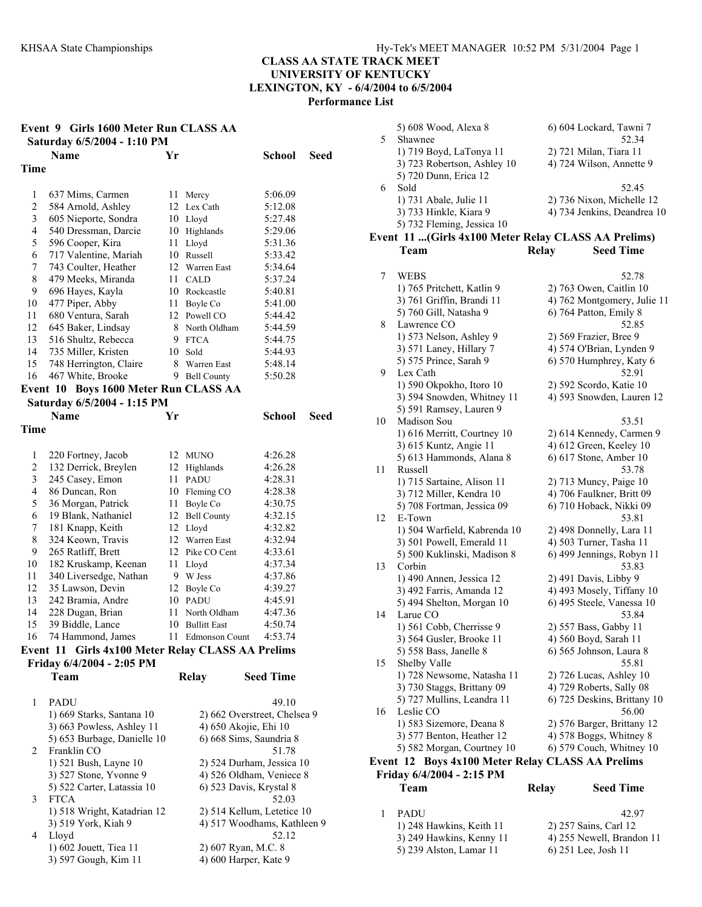| Event 9 Girls 1600 Meter Run CLASS AA<br>Saturday 6/5/2004 - 1:10 PM |                                                   |    |                              |                  |      |
|----------------------------------------------------------------------|---------------------------------------------------|----|------------------------------|------------------|------|
|                                                                      |                                                   |    |                              |                  |      |
|                                                                      | <b>Name</b>                                       | Yr |                              | <b>School</b>    | Seed |
| Time                                                                 |                                                   |    |                              |                  |      |
|                                                                      |                                                   |    |                              |                  |      |
| 1                                                                    | 637 Mims, Carmen                                  | 11 | Mercy                        | 5:06.09          |      |
| $\overline{c}$                                                       | 584 Arnold, Ashley                                |    | 12 Lex Cath                  | 5:12.08          |      |
| 3                                                                    | 605 Nieporte, Sondra                              |    | 10 Lloyd                     | 5:27.48          |      |
| 4                                                                    | 540 Dressman, Darcie                              |    | 10 Highlands                 | 5:29.06          |      |
| 5                                                                    | 596 Cooper, Kira                                  | 11 | Lloyd                        | 5:31.36          |      |
| 6                                                                    | 717 Valentine, Mariah                             |    | 10 Russell                   | 5:33.42          |      |
| 7                                                                    | 743 Coulter, Heather                              |    | 12 Warren East               | 5:34.64          |      |
| 8                                                                    | 479 Meeks, Miranda                                | 11 | <b>CALD</b>                  | 5:37.24          |      |
| 9                                                                    | 696 Hayes, Kayla                                  |    | 10 Rockcastle                | 5:40.81          |      |
| 10                                                                   | 477 Piper, Abby                                   | 11 | Boyle Co                     | 5:41.00          |      |
| 11                                                                   | 680 Ventura, Sarah                                |    | 12 Powell CO                 | 5:44.42          |      |
| 12                                                                   | 645 Baker, Lindsay                                |    | 8 North Oldham               | 5:44.59          |      |
| 13                                                                   | 516 Shultz, Rebecca                               |    | 9 FTCA                       | 5:44.75          |      |
| 14                                                                   | 735 Miller, Kristen                               |    | 10 Sold                      | 5:44.93          |      |
| 15                                                                   | 748 Herrington, Claire                            | 8  | Warren East                  | 5:48.14          |      |
| 16                                                                   | 467 White, Brooke                                 |    | 9 Bell County                | 5:50.28          |      |
|                                                                      | Event 10 Boys 1600 Meter Run CLASS AA             |    |                              |                  |      |
|                                                                      | Saturday 6/5/2004 - 1:15 PM                       |    |                              |                  |      |
|                                                                      |                                                   |    |                              |                  |      |
|                                                                      | <b>Name</b>                                       | Yr |                              | <b>School</b>    | Seed |
| Time                                                                 |                                                   |    |                              |                  |      |
|                                                                      |                                                   |    |                              |                  |      |
| 1                                                                    | 220 Fortney, Jacob                                |    | 12 MUNO                      | 4:26.28          |      |
| $\boldsymbol{2}$                                                     | 132 Derrick, Breylen                              | 12 | Highlands                    | 4:26.28          |      |
| 3                                                                    | 245 Casey, Emon                                   |    | 11 PADU                      | 4:28.31          |      |
| 4                                                                    | 86 Duncan, Ron                                    |    | 10 Fleming CO                | 4:28.38          |      |
| 5                                                                    | 36 Morgan, Patrick                                | 11 | Boyle Co                     | 4:30.75          |      |
| 6                                                                    | 19 Blank, Nathaniel                               | 12 | <b>Bell County</b>           | 4:32.15          |      |
| 7                                                                    | 181 Knapp, Keith                                  |    | 12 Lloyd                     | 4:32.82          |      |
| 8                                                                    | 324 Keown, Travis                                 |    | 12 Warren East               | 4:32.94          |      |
| 9                                                                    | 265 Ratliff, Brett                                |    | 12 Pike CO Cent              | 4:33.61          |      |
| 10                                                                   | 182 Kruskamp, Keenan                              | 11 | Lloyd                        | 4:37.34          |      |
| 11                                                                   | 340 Liversedge, Nathan                            |    | 9 W Jess                     | 4:37.86          |      |
| 12                                                                   | 35 Lawson, Devin                                  |    | 12 Boyle Co                  | 4:39.27          |      |
| 13                                                                   | 242 Bramia, Andre                                 |    | 10 PADU                      | 4:45.91          |      |
| 14                                                                   | 228 Dugan, Brian                                  | 11 | North Oldham                 | 4:47.36          |      |
| 15                                                                   | 39 Biddle, Lance                                  | 10 | <b>Bullitt East</b>          | 4:50.74          |      |
|                                                                      | 16 74 Hammond, James 11 Edmonson Count 4:53.74    |    |                              |                  |      |
|                                                                      |                                                   |    |                              |                  |      |
|                                                                      | Event 11 Girls 4x100 Meter Relay CLASS AA Prelims |    |                              |                  |      |
|                                                                      | Friday 6/4/2004 - 2:05 PM                         |    |                              |                  |      |
|                                                                      | Team                                              |    | Relay                        | <b>Seed Time</b> |      |
|                                                                      |                                                   |    |                              |                  |      |
| 1                                                                    | <b>PADU</b>                                       |    |                              | 49.10            |      |
|                                                                      | 1) 669 Starks, Santana 10                         |    | 2) 662 Overstreet, Chelsea 9 |                  |      |
|                                                                      | 3) 663 Powless, Ashley 11                         |    | 4) 650 Akojie, Ehi 10        |                  |      |
|                                                                      | 5) 653 Burbage, Danielle 10                       |    | 6) 668 Sims, Saundria 8      |                  |      |
| 2                                                                    | Franklin CO                                       |    |                              | 51.78            |      |
|                                                                      | 1) 521 Bush, Layne 10                             |    | 2) 524 Durham, Jessica 10    |                  |      |
|                                                                      | 3) 527 Stone, Yvonne 9                            |    | 4) 526 Oldham, Veniece 8     |                  |      |
|                                                                      | 5) 522 Carter, Latassia 10                        |    | 6) 523 Davis, Krystal 8      |                  |      |
| 3                                                                    | <b>FTCA</b>                                       |    |                              | 52.03            |      |
|                                                                      | 1) 518 Wright, Katadrian 12                       |    | 2) 514 Kellum, Letetice 10   |                  |      |
|                                                                      | 3) 519 York, Kiah 9                               |    | 4) 517 Woodhams, Kathleen 9  |                  |      |
| 4                                                                    | Lloyd                                             |    |                              | 52.12            |      |
|                                                                      | 1) 602 Jouett, Tiea 11                            |    | 2) 607 Ryan, M.C. 8          |                  |      |
|                                                                      | 3) 597 Gough, Kim 11                              |    | 4) 600 Harper, Kate 9        |                  |      |
|                                                                      |                                                   |    |                              |                  |      |

|    | 5) 608 Wood, Alexa 8                                  |              | 6) 604 Lockard, Tawni 7                              |
|----|-------------------------------------------------------|--------------|------------------------------------------------------|
| 5  | Shawnee                                               |              | 52.34                                                |
|    | 1) 719 Boyd, LaTonya 11                               |              | 2) 721 Milan, Tiara 11                               |
|    | 3) 723 Robertson, Ashley 10                           |              | 4) 724 Wilson, Annette 9                             |
|    | 5) 720 Dunn, Erica 12                                 |              |                                                      |
| 6  | Sold                                                  |              | 52.45                                                |
|    | 1) 731 Abale, Julie 11                                |              | 2) 736 Nixon, Michelle 12                            |
|    | 3) 733 Hinkle, Kiara 9                                |              | 4) 734 Jenkins, Deandrea 10                          |
|    | 5) 732 Fleming, Jessica 10                            |              |                                                      |
|    | Event 11 (Girls 4x100 Meter Relay CLASS AA Prelims)   |              |                                                      |
|    | Team                                                  | <b>Relay</b> | <b>Seed Time</b>                                     |
|    |                                                       |              |                                                      |
| 7  | WEBS                                                  |              | 52.78                                                |
|    | 1) 765 Pritchett, Katlin 9                            |              | 2) 763 Owen, Caitlin 10                              |
|    | 3) 761 Griffin, Brandi 11                             |              | 4) 762 Montgomery, Julie 11                          |
|    | 5) 760 Gill, Natasha 9                                |              | 6) 764 Patton, Emily 8                               |
| 8  | Lawrence CO                                           |              | 52.85                                                |
|    | 1) 573 Nelson, Ashley 9                               |              | 2) 569 Frazier, Bree 9                               |
|    | 3) 571 Laney, Hillary 7                               |              | 4) 574 O'Brian, Lynden 9                             |
|    | 5) 575 Prince, Sarah 9                                |              |                                                      |
| 9  | Lex Cath                                              |              | 6) 570 Humphrey, Katy 6<br>52.91                     |
|    |                                                       |              |                                                      |
|    | 1) 590 Okpokho, Itoro 10                              |              | 2) 592 Scordo, Katie 10<br>4) 593 Snowden, Lauren 12 |
|    | 3) 594 Snowden, Whitney 11<br>5) 591 Ramsey, Lauren 9 |              |                                                      |
|    | Madison Sou                                           |              |                                                      |
| 10 |                                                       |              | 53.51                                                |
|    | 1) 616 Merritt, Courtney 10                           |              | 2) 614 Kennedy, Carmen 9                             |
|    | 3) 615 Kuntz, Angie 11                                |              | 4) 612 Green, Keeley 10                              |
|    | 5) 613 Hammonds, Alana 8                              |              | 6) 617 Stone, Amber 10                               |
| 11 | Russell                                               |              | 53.78                                                |
|    | 1) 715 Sartaine, Alison 11                            |              | 2) 713 Muncy, Paige 10                               |
|    | 3) 712 Miller, Kendra 10                              |              | 4) 706 Faulkner, Britt 09                            |
|    | 5) 708 Fortman, Jessica 09                            |              | 6) 710 Hoback, Nikki 09                              |
| 12 | E-Town                                                |              | 53.81                                                |
|    | 1) 504 Warfield, Kabrenda 10                          |              | 2) 498 Donnelly, Lara 11                             |
|    | 3) 501 Powell, Emerald 11                             |              | 4) 503 Turner, Tasha 11                              |
|    | 5) 500 Kuklinski, Madison 8                           |              | 6) 499 Jennings, Robyn 11                            |
| 13 | Corbin                                                |              | 53.83                                                |
|    | 1) 490 Annen, Jessica 12                              |              | 2) 491 Davis, Libby 9                                |
|    | 3) 492 Farris, Amanda 12                              |              | 4) 493 Mosely, Tiffany 10                            |
|    | 5) 494 Shelton, Morgan 10                             |              | 6) 495 Steele, Vanessa 10                            |
| 14 | Larue CO                                              |              | 53.84                                                |
|    | 1) 561 Cobb, Cherrisse 9                              |              | 2) 557 Bass, Gabby 11                                |
|    | 3) 564 Gusler, Brooke 11                              |              | 4) 560 Boyd, Sarah 11                                |
|    | 5) 558 Bass, Janelle 8                                |              | 6) 565 Johnson, Laura 8                              |
| 15 | Shelby Valle                                          |              | 55.81                                                |
|    | 1) 728 Newsome, Natasha 11                            |              | 2) 726 Lucas, Ashley 10                              |
|    | 3) 730 Staggs, Brittany 09                            |              | 4) 729 Roberts, Sally 08                             |
|    | 5) 727 Mullins, Leandra 11                            |              | 6) 725 Deskins, Brittany 10                          |
| 16 | Leslie CO                                             |              | 56.00                                                |
|    | 1) 583 Sizemore, Deana 8                              |              | 2) 576 Barger, Brittany 12                           |
|    | 3) 577 Benton, Heather 12                             |              | 4) 578 Boggs, Whitney 8                              |
|    | 5) 582 Morgan, Courtney 10                            |              | 6) 579 Couch, Whitney 10                             |
|    | Event 12 Boys 4x100 Meter Relay CLASS AA Prelims      |              |                                                      |
|    | Friday 6/4/2004 - 2:15 PM                             |              |                                                      |
|    | Team                                                  | <b>Relay</b> | <b>Seed Time</b>                                     |
| 1  | PADU                                                  |              | 42.97                                                |
|    | 1) 248 Hawkins, Keith 11                              |              | 2) 257 Sains, Carl 12                                |
|    | 3) 249 Hawkins, Kenny 11                              |              | 4) 255 Newell, Brandon 11                            |
|    | 5) 239 Alston, Lamar 11                               |              | 6) 251 Lee, Josh 11                                  |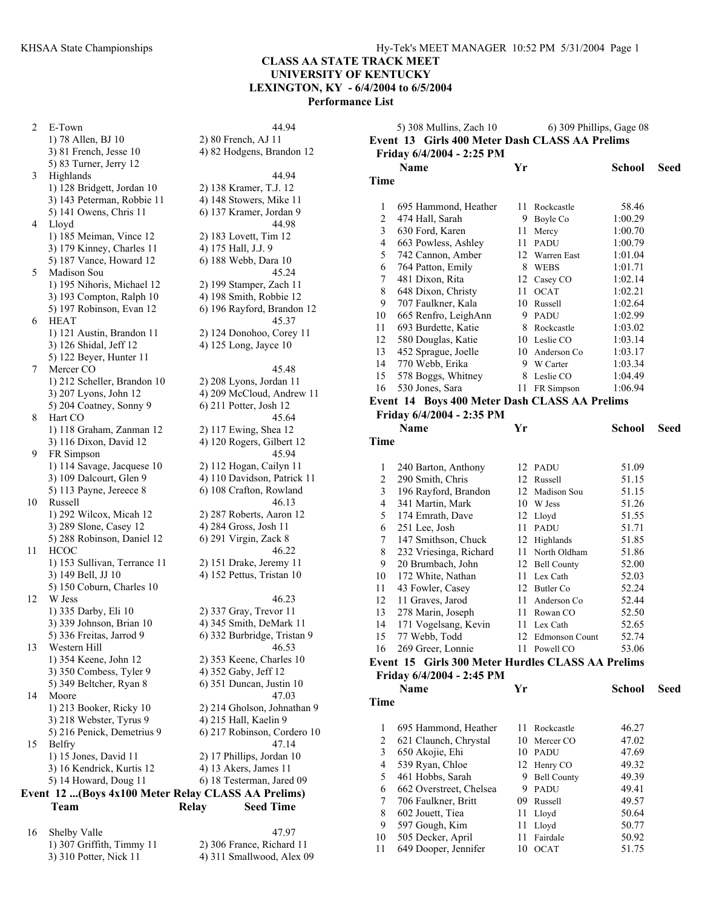2 E-Town 44.94 1) 78 Allen, BJ 10 2) 80 French, AJ 11  $3)$  81 French, Jesse 10  $\qquad$  4) 82 Hodgens, Brandon 12 5) 83 Turner, Jerry 12 3 Highlands 44.94 1) 128 Bridgett, Jordan 10 2) 138 Kramer, T.J. 12 3) 143 Peterman, Robbie 11 4) 148 Stowers, Mike 11 5) 141 Owens, Chris 11 6) 137 Kramer, Jordan 9 4 Lloyd 44.98 1) 185 Meiman, Vince 12 2) 183 Lovett, Tim 12 3) 179 Kinney, Charles 11 4) 175 Hall, J.J. 9<br>5) 187 Vance, Howard 12 6) 188 Webb, Dara 10 5) 187 Vance, Howard 12 5 Madison Sou 45.24 1) 195 Nihoris, Michael 12 2) 199 Stamper, Zach 11 3) 193 Compton, Ralph 10 4) 198 Smith, Robbie 12 5) 197 Robinson, Evan 12 6) 196 Rayford, Brandon 12 6 HEAT 45.37 1) 121 Austin, Brandon 11 2) 124 Donohoo, Corey 11 3) 126 Shidal, Jeff 12 4) 125 Long, Jayce 10 5) 122 Beyer, Hunter 11 7 Mercer CO 45.48 1) 212 Scheller, Brandon 10 2) 208 Lyons, Jordan 11 3) 207 Lyons, John 12 4) 209 McCloud, Andrew 11<br>5) 204 Coatney, Sonny 9 6) 211 Potter, Josh 12 5) 204 Coatney, Sonny 9 8 Hart CO 45.64 1) 118 Graham, Zanman 12 2) 117 Ewing, Shea 12 3) 116 Dixon, David 12 4) 120 Rogers, Gilbert 12 9 FR Simpson 45.94 1) 114 Savage, Jacquese 10 2) 112 Hogan, Cailyn 11 3) 109 Dalcourt, Glen 9 4) 110 Davidson, Patrick 11 5) 113 Payne, Jereece 8 6) 108 Crafton, Rowland 10 Russell 46.13 1) 292 Wilcox, Micah 12 2) 287 Roberts, Aaron 12 3) 289 Slone, Casey 12 4) 284 Gross, Josh 11 5) 288 Robinson, Daniel 12 6) 291 Virgin, Zack 8 11 HCOC 46.22 1) 153 Sullivan, Terrance 11 2) 151 Drake, Jeremy 11 3) 149 Bell, JJ 10 4) 152 Pettus, Tristan 10 5) 150 Coburn, Charles 10 12 W Jess 46.23<br>1) 335 Darby, Eli 10 2) 337 Gray, Trevor 11 3) 339 Johnson, Brian 10 4) 345 Smith, DeMark 11 5) 336 Freitas, Jarrod 9 6) 332 Burbridge, Tristan 9 13 Western Hill 46.53 1) 354 Keene, John 12 2) 353 Keene, Charles 10 3) 350 Combess, Tyler 9 4) 352 Gaby, Jeff 12 5) 349 Beltcher, Ryan 8 6) 351 Duncan, Justin 10 14 Moore 47.03 1) 213 Booker, Ricky 10 2) 214 Gholson, Johnathan 9 3) 218 Webster, Tyrus 9 4) 215 Hall, Kaelin 9 5) 216 Penick, Demetrius 9 6) 217 Robinson, Cordero 10 15 Belfry 47.14 1) 15 Jones, David 11 2) 17 Phillips, Jordan 10 3) 16 Kendrick, Kurtis 12 4) 13 Akers, James 11 5) 14 Howard, Doug 11 6) 18 Testerman, Jared 09 **Event 12 ...(Boys 4x100 Meter Relay CLASS AA Prelims)** 

2) 337 Gray, Trevor 11

# **Team Relay Seed Time**

16 Shelby Valle 47.97 1) 307 Griffith, Timmy 11 2) 306 France, Richard 11 3) 310 Potter, Nick 11 4) 311 Smallwood, Alex 09

|                | 5) 308 Mullins, Zach 10                           |    | 6) 309 Phillips, Gage 08 |         |      |
|----------------|---------------------------------------------------|----|--------------------------|---------|------|
|                | Event 13 Girls 400 Meter Dash CLASS AA Prelims    |    |                          |         |      |
|                | Friday 6/4/2004 - 2:25 PM                         |    |                          |         |      |
|                | Name                                              | Yr |                          | School  | Seed |
| Time           |                                                   |    |                          |         |      |
|                |                                                   |    |                          |         |      |
| 1              | 695 Hammond, Heather                              |    | 11 Rockcastle            | 58.46   |      |
| $\overline{c}$ | 474 Hall, Sarah                                   |    | 9 Boyle Co               | 1:00.29 |      |
| $\mathfrak{Z}$ | 630 Ford, Karen                                   | 11 | Mercy                    | 1:00.70 |      |
| 4              | 663 Powless, Ashley                               | 11 | <b>PADU</b>              | 1:00.79 |      |
| 5              | 742 Cannon, Amber                                 |    | 12 Warren East           | 1:01.04 |      |
| 6              | 764 Patton, Emily                                 |    | 8 WEBS                   | 1:01.71 |      |
| 7              | 481 Dixon, Rita                                   |    | 12 Casey CO              | 1:02.14 |      |
| 8              | 648 Dixon, Christy                                | 11 | <b>OCAT</b>              | 1:02.21 |      |
| 9              | 707 Faulkner, Kala                                |    | 10 Russell               | 1:02.64 |      |
| 10             | 665 Renfro, LeighAnn                              |    | 9 PADU                   | 1:02.99 |      |
| 11             | 693 Burdette, Katie                               |    | 8 Rockcastle             | 1:03.02 |      |
| 12             | 580 Douglas, Katie                                |    | 10 Leslie CO             | 1:03.14 |      |
| 13             | 452 Sprague, Joelle                               |    | 10 Anderson Co           | 1:03.17 |      |
| 14             | 770 Webb, Erika                                   |    | 9 W Carter               | 1:03.34 |      |
| 15             | 578 Boggs, Whitney                                | 8  | Leslie CO                | 1:04.49 |      |
| 16             | 530 Jones, Sara                                   | 11 | FR Simpson               | 1:06.94 |      |
|                | Event 14 Boys 400 Meter Dash CLASS AA Prelims     |    |                          |         |      |
|                | Friday 6/4/2004 - 2:35 PM                         |    |                          |         |      |
|                | Name                                              | Yr |                          | School  | Seed |
| Time           |                                                   |    |                          |         |      |
|                |                                                   |    |                          |         |      |
| 1              | 240 Barton, Anthony                               |    | 12 PADU                  | 51.09   |      |
| $\overline{c}$ | 290 Smith, Chris                                  |    | 12 Russell               | 51.15   |      |
| 3              | 196 Rayford, Brandon                              |    | 12 Madison Sou           | 51.15   |      |
| 4              | 341 Martin, Mark                                  |    | 10 W Jess                | 51.26   |      |
| 5              | 174 Emrath, Dave                                  |    | 12 Lloyd                 | 51.55   |      |
| 6              | 251 Lee, Josh                                     | 11 | PADU                     | 51.71   |      |
| 7              | 147 Smithson, Chuck                               |    | 12 Highlands             | 51.85   |      |
| 8              | 232 Vriesinga, Richard                            |    | 11 North Oldham          | 51.86   |      |
| 9              | 20 Brumbach, John                                 |    | 12 Bell County           | 52.00   |      |
| 10             | 172 White, Nathan                                 |    | 11 Lex Cath              | 52.03   |      |
| 11             | 43 Fowler, Casey                                  |    | 12 Butler Co             | 52.24   |      |
| 12             | 11 Graves, Jarod                                  |    | 11 Anderson Co           | 52.44   |      |
| 13             | 278 Marin, Joseph                                 | 11 | Rowan CO                 | 52.50   |      |
| 14             | 171 Vogelsang, Kevin                              |    | 11 Lex Cath              | 52.65   |      |
| 15             | 77 Webb, Todd                                     |    | 12 Edmonson Count        | 52.74   |      |
| 16             | 269 Greer, Lonnie                                 |    | 11 Powell CO             | 53.06   |      |
|                | Event 15 Girls 300 Meter Hurdles CLASS AA Prelims |    |                          |         |      |
|                | Friday 6/4/2004 - 2:45 PM                         |    |                          |         |      |
|                | <b>Name</b>                                       | Yr |                          | School  | Seed |
| Time           |                                                   |    |                          |         |      |
|                |                                                   |    |                          |         |      |
| 1              | 695 Hammond, Heather                              | 11 | Rockcastle               | 46.27   |      |
| $\overline{c}$ | 621 Claunch, Chrystal                             | 10 | Mercer CO                | 47.02   |      |
| $\mathfrak{Z}$ | 650 Akojie, Ehi                                   |    | 10 PADU                  | 47.69   |      |
| 4              | 539 Ryan, Chloe                                   |    | 12 Henry CO              | 49.32   |      |
| 5              | 461 Hobbs, Sarah                                  | 9. | <b>Bell County</b>       | 49.39   |      |
| 6              | 662 Overstreet, Chelsea                           | 9. | <b>PADU</b>              | 49.41   |      |
| 7              | 706 Faulkner, Britt                               | 09 | Russell                  | 49.57   |      |
| 8              | 602 Jouett, Tiea                                  | 11 | Lloyd                    | 50.64   |      |
| 9              | 597 Gough, Kim                                    | 11 | Lloyd                    | 50.77   |      |
| 10             | 505 Decker, April                                 | 11 | Fairdale                 | 50.92   |      |

11 649 Dooper, Jennifer 10 OCAT 51.75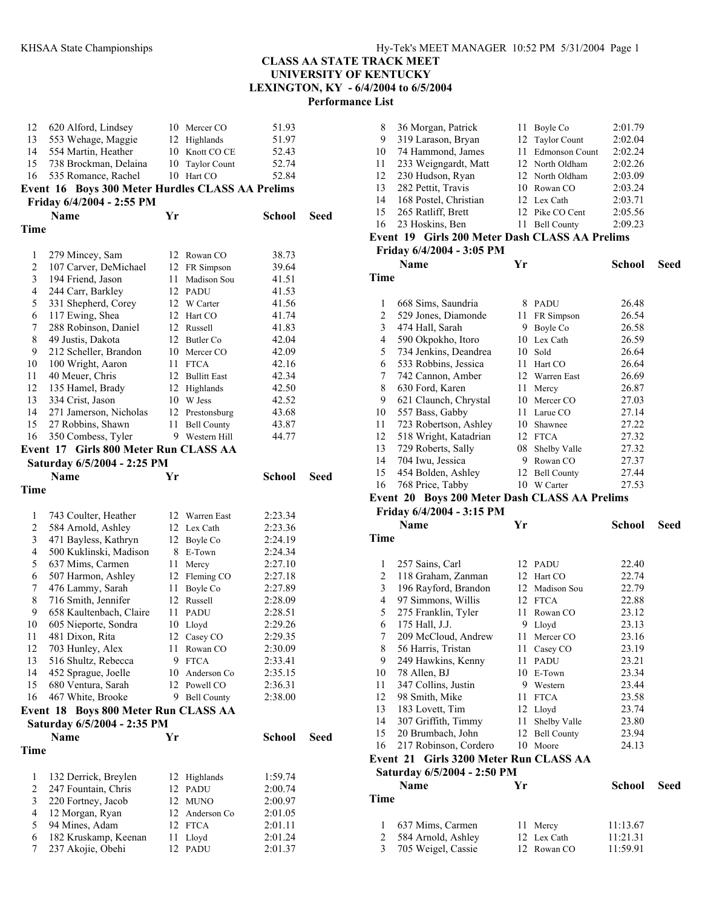| 12                       | 620 Alford, Lindsey                              |      | 10 Mercer CO              | 51.93              |      |
|--------------------------|--------------------------------------------------|------|---------------------------|--------------------|------|
| 13                       | 553 Wehage, Maggie                               |      | 12 Highlands              | 51.97              |      |
| 14                       | 554 Martin, Heather                              |      | 10 Knott CO CE            | 52.43              |      |
| 15 <sup>15</sup>         | 738 Brockman, Delaina                            |      | 10 Taylor Count           | 52.74              |      |
| 16                       | 535 Romance, Rachel                              |      | 10 Hart CO                | 52.84              |      |
|                          | Event 16 Boys 300 Meter Hurdles CLASS AA Prelims |      |                           |                    |      |
|                          | Friday 6/4/2004 - 2:55 PM                        |      |                           |                    |      |
|                          | <b>Name</b>                                      | Yr   |                           | <b>School</b>      | Seed |
| Time                     |                                                  |      |                           |                    |      |
|                          |                                                  |      |                           |                    |      |
| 1                        | 279 Mincey, Sam                                  |      | 12 Rowan CO               | 38.73              |      |
| $\overline{c}$           | 107 Carver, DeMichael                            |      | 12 FR Simpson             | 39.64              |      |
| 3<br>$\overline{4}$      | 194 Friend, Jason                                | 11 - | Madison Sou<br>12 PADU    | 41.51<br>41.53     |      |
| 5                        | 244 Carr, Barkley<br>331 Shepherd, Corey         |      | 12 W Carter               | 41.56              |      |
| 6                        | 117 Ewing, Shea                                  |      | 12 Hart CO                | 41.74              |      |
| 7                        | 288 Robinson, Daniel                             |      | 12 Russell                | 41.83              |      |
| 8                        | 49 Justis, Dakota                                |      | 12 Butler Co              | 42.04              |      |
| 9                        | 212 Scheller, Brandon                            |      | 10 Mercer CO              | 42.09              |      |
| 10                       | 100 Wright, Aaron                                |      | 11 FTCA                   | 42.16              |      |
| 11                       | 40 Meuer, Chris                                  |      | 12 Bullitt East           | 42.34              |      |
| 12                       | 135 Hamel, Brady                                 |      | 12 Highlands              | 42.50              |      |
| 13                       | 334 Crist, Jason                                 |      | 10 W Jess                 | 42.52              |      |
| 14                       | 271 Jamerson, Nicholas                           |      | 12 Prestonsburg           | 43.68              |      |
| 15                       | 27 Robbins, Shawn                                | 11   | <b>Bell County</b>        | 43.87              |      |
| 16                       | 350 Combess, Tyler                               |      | 9 Western Hill            | 44.77              |      |
|                          | Event 17 Girls 800 Meter Run CLASS AA            |      |                           |                    |      |
|                          | Saturday 6/5/2004 - 2:25 PM                      |      |                           |                    |      |
|                          | <b>Name</b>                                      | Yr   |                           | <b>School</b>      | Seed |
| Time                     |                                                  |      |                           |                    |      |
|                          |                                                  |      |                           |                    |      |
| 1                        | 743 Coulter, Heather                             |      | 12 Warren East            | 2:23.34            |      |
| $\overline{c}$           | 584 Arnold, Ashley                               |      | 12 Lex Cath               | 2:23.36            |      |
|                          |                                                  |      |                           |                    |      |
| 3                        | 471 Bayless, Kathryn                             |      | 12 Boyle Co               | 2:24.19            |      |
| $\overline{\mathcal{L}}$ | 500 Kuklinski, Madison                           |      | 8 E-Town                  | 2:24.34            |      |
| 5                        | 637 Mims, Carmen                                 |      | 11 Mercy                  | 2:27.10            |      |
| 6                        | 507 Harmon, Ashley                               |      | 12 Fleming CO             | 2:27.18            |      |
| 7                        | 476 Lammy, Sarah                                 | 11   | Boyle Co                  | 2:27.89            |      |
| 8                        | 716 Smith, Jennifer                              |      | 12 Russell                | 2:28.09            |      |
| 9                        | 658 Kaultenbach, Claire                          | 11   | <b>PADU</b>               | 2:28.51            |      |
| 10                       | 605 Nieporte, Sondra                             | 10   | Lloyd                     | 2:29.26            |      |
| 11                       | 481 Dixon, Rita                                  |      | 12 Casey CO               | 2:29.35            |      |
| 12                       | 703 Hunley, Alex                                 | 11   | Rowan CO                  | 2:30.09            |      |
| 13                       | 516 Shultz, Rebecca                              | 9.   | <b>FTCA</b>               | 2:33.41            |      |
| 14                       | 452 Sprague, Joelle                              |      | 10 Anderson Co            | 2:35.15            |      |
| 15                       | 680 Ventura, Sarah                               | 12   | Powell CO                 | 2:36.31            |      |
| 16                       | 467 White, Brooke                                | 9    | <b>Bell County</b>        | 2:38.00            |      |
|                          | Event 18 Boys 800 Meter Run CLASS AA             |      |                           |                    |      |
|                          | Saturday 6/5/2004 - 2:35 PM                      |      |                           |                    |      |
|                          | <b>Name</b>                                      | Yr   |                           | School             | Seed |
| Time                     |                                                  |      |                           |                    |      |
| 1                        |                                                  |      | 12 Highlands              | 1:59.74            |      |
| $\overline{c}$           | 132 Derrick, Breylen                             | 12   | PADU                      | 2:00.74            |      |
| 3                        | 247 Fountain, Chris                              |      | 12 MUNO                   | 2:00.97            |      |
| $\overline{4}$           | 220 Fortney, Jacob                               |      |                           |                    |      |
| 5                        | 12 Morgan, Ryan<br>94 Mines, Adam                |      | 12 Anderson Co<br>12 FTCA | 2:01.05<br>2:01.11 |      |
| 6                        | 182 Kruskamp, Keenan                             | 11   | Lloyd                     | 2:01.24            |      |

| 8                        | 36 Morgan, Patrick                               | 11   | Boyle Co                | 2:01.79              |      |
|--------------------------|--------------------------------------------------|------|-------------------------|----------------------|------|
| 9                        | 319 Larason, Bryan                               |      | 12 Taylor Count         | 2:02.04              |      |
| 10                       | 74 Hammond, James                                |      | 11 Edmonson Count       | 2:02.24              |      |
| 11                       | 233 Weigngardt, Matt                             |      | 12 North Oldham         | 2:02.26              |      |
| 12                       | 230 Hudson, Ryan                                 |      | 12 North Oldham         | 2:03.09              |      |
| 13                       | 282 Pettit, Travis                               |      | 10 Rowan CO             | 2:03.24              |      |
| 14                       | 168 Postel, Christian                            |      | 12 Lex Cath             | 2:03.71              |      |
| 15                       | 265 Ratliff, Brett                               |      | 12 Pike CO Cent         | 2:05.56              |      |
| 16                       |                                                  |      |                         | 2:09.23              |      |
|                          | 23 Hoskins, Ben                                  |      | 11 Bell County          |                      |      |
|                          | Event 19 Girls 200 Meter Dash CLASS AA Prelims   |      |                         |                      |      |
|                          | Friday 6/4/2004 - 3:05 PM                        |      |                         |                      |      |
|                          | <b>Name</b>                                      | Yr   |                         | School               | Seed |
| <b>Time</b>              |                                                  |      |                         |                      |      |
|                          |                                                  |      |                         |                      |      |
| 1                        | 668 Sims, Saundria                               |      | 8 PADU                  | 26.48                |      |
| $\mathbf{2}$             | 529 Jones, Diamonde                              | 11   | FR Simpson              | 26.54                |      |
| 3                        | 474 Hall, Sarah                                  | 9.   | Boyle Co                | 26.58                |      |
| 4                        | 590 Okpokho, Itoro                               |      | 10 Lex Cath             | 26.59                |      |
| 5                        | 734 Jenkins, Deandrea                            |      | 10 Sold                 | 26.64                |      |
| 6                        | 533 Robbins, Jessica                             | 11 - | Hart CO                 | 26.64                |      |
| 7                        | 742 Cannon, Amber                                | 12   | Warren East             | 26.69                |      |
| 8                        | 630 Ford, Karen                                  | 11   | Mercy                   | 26.87                |      |
| 9                        | 621 Claunch, Chrystal                            |      | 10 Mercer CO            | 27.03                |      |
| 10                       | 557 Bass, Gabby                                  |      | 11 Larue CO             | 27.14                |      |
| 11                       | 723 Robertson, Ashley                            |      | 10 Shawnee              | 27.22                |      |
| 12                       | 518 Wright, Katadrian                            |      | 12 FTCA                 | 27.32                |      |
| 13                       | 729 Roberts, Sally                               |      | 08 Shelby Valle         | 27.32                |      |
| 14                       | 704 Iwu, Jessica                                 |      | 9 Rowan CO              | 27.37                |      |
| 15                       | 454 Bolden, Ashley                               | 12   | <b>Bell County</b>      | 27.44                |      |
| 16                       | 768 Price, Tabby                                 | 10   | W Carter                | 27.53                |      |
|                          |                                                  |      |                         |                      |      |
|                          |                                                  |      |                         |                      |      |
|                          | Event 20 Boys 200 Meter Dash CLASS AA Prelims    |      |                         |                      |      |
|                          | Friday 6/4/2004 - 3:15 PM<br><b>Name</b>         | Yr   |                         | School               | Seed |
| <b>Time</b>              |                                                  |      |                         |                      |      |
|                          |                                                  |      |                         |                      |      |
| 1                        | 257 Sains, Carl                                  |      | 12 PADU                 | 22.40                |      |
| $\overline{c}$           | 118 Graham, Zanman                               |      | 12 Hart CO              | 22.74                |      |
| 3                        | 196 Rayford, Brandon                             |      | 12 Madison Sou          | 22.79                |      |
| $\overline{\mathcal{L}}$ | 97 Simmons, Willis                               |      | 12 FTCA                 | 22.88                |      |
| 5                        |                                                  | 11   | Rowan CO                | 23.12                |      |
| 6                        | 275 Franklin, Tyler                              | 9    | Lloyd                   | 23.13                |      |
| 7                        | 175 Hall, J.J.                                   | 11   |                         |                      |      |
|                          | 209 McCloud, Andrew                              | 11   | Mercer CO               | 23.16                |      |
| 8<br>9                   | 56 Harris, Tristan                               | 11   | Casey CO<br><b>PADU</b> | 23.19                |      |
| 10                       | 249 Hawkins, Kenny                               | 10   |                         | 23.21<br>23.34       |      |
| 11                       | 78 Allen, BJ                                     | 9    | E-Town                  |                      |      |
|                          | 347 Collins, Justin                              |      | Western                 | 23.44                |      |
| 12                       | 98 Smith, Mike                                   | 11   | <b>FTCA</b>             | 23.58                |      |
| 13                       | 183 Lovett, Tim                                  |      | 12 Lloyd                | 23.74                |      |
| 14                       | 307 Griffith, Timmy                              | 11   | Shelby Valle            | 23.80                |      |
| 15                       | 20 Brumbach, John                                | 12   | <b>Bell County</b>      | 23.94                |      |
| 16                       | 217 Robinson, Cordero                            | 10   | Moore                   | 24.13                |      |
|                          | <b>Girls 3200 Meter Run CLASS AA</b><br>Event 21 |      |                         |                      |      |
|                          | Saturday 6/5/2004 - 2:50 PM                      |      |                         |                      |      |
|                          | <b>Name</b>                                      | Yr   |                         | School               | Seed |
| Time                     |                                                  |      |                         |                      |      |
| 1                        |                                                  | 11   |                         |                      |      |
| $\overline{c}$           | 637 Mims, Carmen<br>584 Arnold, Ashley           | 12   | Mercy<br>Lex Cath       | 11:13.67<br>11:21.31 |      |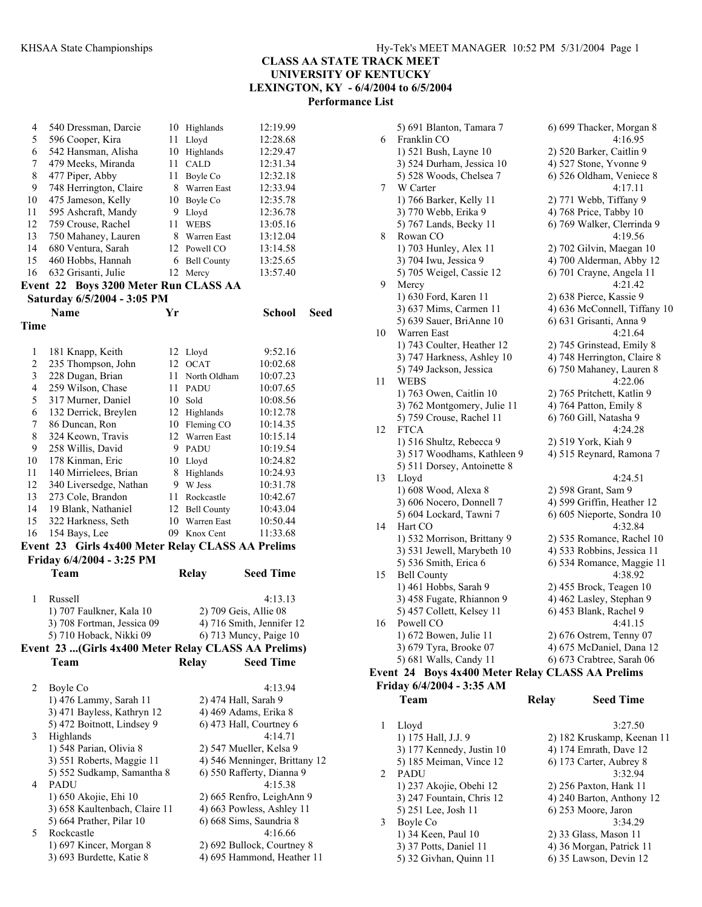| 4              | 540 Dressman, Darcie                                 |    | 10 Highlands        | 12:19.99                      |      |
|----------------|------------------------------------------------------|----|---------------------|-------------------------------|------|
| 5              | 596 Cooper, Kira                                     | 11 | Lloyd               | 12:28.68                      |      |
| 6              | 542 Hansman, Alisha                                  |    | 10 Highlands        | 12:29.47                      |      |
| 7              | 479 Meeks, Miranda                                   | 11 | <b>CALD</b>         | 12:31.34                      |      |
| 8              | 477 Piper, Abby                                      | 11 |                     |                               |      |
|                |                                                      |    | Boyle Co            | 12:32.18                      |      |
| 9              | 748 Herrington, Claire                               |    | 8 Warren East       | 12:33.94                      |      |
| 10             | 475 Jameson, Kelly                                   |    | 10 Boyle Co         | 12:35.78                      |      |
| 11             | 595 Ashcraft, Mandy                                  | 9. | Lloyd               | 12:36.78                      |      |
| 12             | 759 Crouse, Rachel                                   | 11 | WEBS                | 13:05.16                      |      |
| 13             | 750 Mahaney, Lauren                                  |    | 8 Warren East       | 13:12.04                      |      |
| 14             | 680 Ventura, Sarah                                   |    | 12 Powell CO        | 13:14.58                      |      |
| 15             | 460 Hobbs, Hannah                                    |    | 6 Bell County       | 13:25.65                      |      |
| 16             | 632 Grisanti, Julie                                  |    | 12 Mercy            | 13:57.40                      |      |
|                | Event 22 Boys 3200 Meter Run CLASS AA                |    |                     |                               |      |
|                | Saturday 6/5/2004 - 3:05 PM                          |    |                     |                               |      |
|                | <b>Name</b>                                          | Yr |                     | School                        | Seed |
| Time           |                                                      |    |                     |                               |      |
|                |                                                      |    |                     |                               |      |
| $\mathbf{1}$   |                                                      |    |                     | 9:52.16                       |      |
| $\overline{c}$ | 181 Knapp, Keith                                     |    | 12 Lloyd<br>12 OCAT |                               |      |
|                | 235 Thompson, John                                   |    |                     | 10:02.68                      |      |
| $\mathfrak{Z}$ | 228 Dugan, Brian                                     |    | 11 North Oldham     | 10:07.23                      |      |
| $\overline{4}$ | 259 Wilson, Chase                                    |    | 11 PADU             | 10:07.65                      |      |
| 5              | 317 Murner, Daniel                                   |    | 10 Sold             | 10:08.56                      |      |
| 6              | 132 Derrick, Breylen                                 |    | 12 Highlands        | 10:12.78                      |      |
| 7              | 86 Duncan, Ron                                       |    | 10 Fleming CO       | 10:14.35                      |      |
| 8              | 324 Keown, Travis                                    |    | 12 Warren East      | 10:15.14                      |      |
| 9              | 258 Willis, David                                    |    | 9 PADU              | 10:19.54                      |      |
| 10             | 178 Kinman, Eric                                     |    | 10 Lloyd            | 10:24.82                      |      |
| 11             | 140 Mirrielees, Brian                                | 8  | Highlands           | 10:24.93                      |      |
| 12             | 340 Liversedge, Nathan                               |    | 9 W Jess            | 10:31.78                      |      |
| 13             | 273 Cole, Brandon                                    |    | 11 Rockcastle       | 10:42.67                      |      |
| 14             | 19 Blank, Nathaniel                                  |    | 12 Bell County      | 10:43.04                      |      |
| 15             | 322 Harkness, Seth                                   |    | 10 Warren East      | 10:50.44                      |      |
| 16             | 154 Bays, Lee                                        |    | 09 Knox Cent        | 11:33.68                      |      |
|                | Event 23 Girls 4x400 Meter Relay CLASS AA Prelims    |    |                     |                               |      |
|                | Friday 6/4/2004 - 3:25 PM                            |    |                     |                               |      |
|                | Team                                                 |    | Relay               | <b>Seed Time</b>              |      |
|                |                                                      |    |                     |                               |      |
| 1              | Russell                                              |    |                     | 4:13.13                       |      |
|                | 1) 707 Faulkner, Kala 10                             |    |                     | 2) 709 Geis, Allie 08         |      |
|                | 3) 708 Fortman, Jessica 09                           |    |                     | 4) 716 Smith, Jennifer 12     |      |
|                | 5) 710 Hoback, Nikki 09                              |    |                     | 6) 713 Muncy, Paige 10        |      |
|                | Event 23  (Girls 4x400 Meter Relay CLASS AA Prelims) |    |                     |                               |      |
|                | Team                                                 |    | <b>Relay</b>        | <b>Seed Time</b>              |      |
|                |                                                      |    |                     |                               |      |
|                |                                                      |    |                     |                               |      |
| 2              | Boyle Co                                             |    |                     | 4:13.94                       |      |
|                | 1) 476 Lammy, Sarah 11                               |    |                     | 2) 474 Hall, Sarah 9          |      |
|                | 3) 471 Bayless, Kathryn 12                           |    |                     | 4) 469 Adams, Erika 8         |      |
|                | 5) 472 Boitnott, Lindsey 9                           |    |                     | 6) 473 Hall, Courtney 6       |      |
| 3              | Highlands                                            |    |                     | 4:14.71                       |      |
|                | 1) 548 Parian, Olivia 8                              |    |                     | 2) 547 Mueller, Kelsa 9       |      |
|                | 3) 551 Roberts, Maggie 11                            |    |                     | 4) 546 Menninger, Brittany 12 |      |
|                | 5) 552 Sudkamp, Samantha 8                           |    |                     | 6) 550 Rafferty, Dianna 9     |      |
| 4              | PADU                                                 |    |                     | 4:15.38                       |      |
|                | 1) 650 Akojie, Ehi 10                                |    |                     | 2) 665 Renfro, LeighAnn 9     |      |
|                | 3) 658 Kaultenbach, Claire 11                        |    |                     | 4) 663 Powless, Ashley 11     |      |
|                | 5) 664 Prather, Pilar 10                             |    |                     | 6) 668 Sims, Saundria 8       |      |
| 5              | Rockcastle                                           |    |                     | 4:16.66                       |      |
|                | 1) 697 Kincer, Morgan 8                              |    |                     | 2) 692 Bullock, Courtney 8    |      |
|                | 3) 693 Burdette, Katie 8                             |    |                     | 4) 695 Hammond, Heather 11    |      |

|    | 5) 691 Blanton, Tamara 7                         | 6) 699 Thacker, Morgan 8     |                  |
|----|--------------------------------------------------|------------------------------|------------------|
| 6  | Franklin CO                                      |                              | 4:16.95          |
|    | 1) 521 Bush, Layne 10                            | 2) 520 Barker, Caitlin 9     |                  |
|    | 3) 524 Durham, Jessica 10                        | 4) 527 Stone, Yvonne 9       |                  |
|    | 5) 528 Woods, Chelsea 7                          | 6) 526 Oldham, Veniece 8     |                  |
| 7  | W Carter                                         |                              | 4:17.11          |
|    | 1) 766 Barker, Kelly 11                          | 2) 771 Webb, Tiffany 9       |                  |
|    | 3) 770 Webb, Erika 9                             | 4) 768 Price, Tabby 10       |                  |
|    | 5) 767 Lands, Becky 11                           | 6) 769 Walker, Clerrinda 9   |                  |
| 8  | Rowan CO                                         |                              | 4:19.56          |
|    | 1) 703 Hunley, Alex 11                           | 2) 702 Gilvin, Maegan 10     |                  |
|    | 3) 704 Iwu, Jessica 9                            | 4) 700 Alderman, Abby 12     |                  |
|    | 5) 705 Weigel, Cassie 12                         | 6) 701 Crayne, Angela 11     |                  |
| 9  | Mercy                                            |                              | 4:21.42          |
|    | 1) 630 Ford, Karen 11                            | 2) 638 Pierce, Kassie 9      |                  |
|    | 3) 637 Mims, Carmen 11                           | 4) 636 McConnell, Tiffany 10 |                  |
|    | 5) 639 Sauer, BriAnne 10                         | 6) 631 Grisanti, Anna 9      |                  |
| 10 | Warren East                                      |                              | 4:21.64          |
|    | 1) 743 Coulter, Heather 12                       | 2) 745 Grinstead, Emily 8    |                  |
|    | 3) 747 Harkness, Ashley 10                       | 4) 748 Herrington, Claire 8  |                  |
|    | 5) 749 Jackson, Jessica                          | 6) 750 Mahaney, Lauren 8     |                  |
| 11 | WEBS                                             |                              | 4:22.06          |
|    | 1) 763 Owen, Caitlin 10                          | 2) 765 Pritchett, Katlin 9   |                  |
|    | 3) 762 Montgomery, Julie 11                      | 4) 764 Patton, Emily 8       |                  |
|    | 5) 759 Crouse, Rachel 11                         | 6) 760 Gill, Natasha 9       |                  |
| 12 | <b>FTCA</b>                                      |                              | 4:24.28          |
|    | 1) 516 Shultz, Rebecca 9                         | 2) 519 York, Kiah 9          |                  |
|    | 3) 517 Woodhams, Kathleen 9                      | 4) 515 Reynard, Ramona 7     |                  |
|    | 5) 511 Dorsey, Antoinette 8                      |                              |                  |
| 13 | Lloyd                                            |                              | 4:24.51          |
|    | 1) 608 Wood, Alexa 8                             | 2) 598 Grant, Sam 9          |                  |
|    | 3) 606 Nocero, Donnell 7                         | 4) 599 Griffin, Heather 12   |                  |
| 14 | 5) 604 Lockard, Tawni 7<br>Hart CO               | 6) 605 Nieporte, Sondra 10   | 4:32.84          |
|    | 1) 532 Morrison, Brittany 9                      | 2) 535 Romance, Rachel 10    |                  |
|    | 3) 531 Jewell, Marybeth 10                       | 4) 533 Robbins, Jessica 11   |                  |
|    | 5) 536 Smith, Erica 6                            | 6) 534 Romance, Maggie 11    |                  |
| 15 | <b>Bell County</b>                               |                              | 4:38.92          |
|    | 1) 461 Hobbs, Sarah 9                            | 2) 455 Brock, Teagen 10      |                  |
|    | 3) 458 Fugate, Rhiannon 9                        | 4) 462 Lasley, Stephan 9     |                  |
|    | 5) 457 Collett, Kelsey 11                        | 6) 453 Blank, Rachel 9       |                  |
| 16 | Powell CO                                        |                              | 4:41.15          |
|    | 1) 672 Bowen, Julie 11                           | 2) 676 Ostrem, Tenny 07      |                  |
|    | 3) 679 Tyra, Brooke 07                           | 4) 675 McDaniel, Dana 12     |                  |
|    | 5) 681 Walls, Candy 11                           | 6) 673 Crabtree, Sarah 06    |                  |
|    | Event 24 Boys 4x400 Meter Relay CLASS AA Prelims |                              |                  |
|    | Friday 6/4/2004 - 3:35 AM                        |                              |                  |
|    | Team                                             | <b>Relay</b>                 | <b>Seed Time</b> |
|    |                                                  |                              |                  |
| 1  | Lloyd                                            |                              | 3:27.50          |
|    | 1) 175 Hall, J.J. 9                              | 2) 182 Kruskamp, Keenan 11   |                  |
|    | 3) 177 Kennedy, Justin 10                        | 4) 174 Emrath, Dave 12       |                  |
|    | 5) 185 Meiman, Vince 12                          | 6) 173 Carter, Aubrey 8      |                  |
| 2  | <b>PADU</b>                                      |                              | 3:32.94          |

1) 237 Akojie, Obehi 12 2) 256 Paxton, Hank 11 3) 247 Fountain, Chris 12 4) 240 Barton, Anthony 12 5) 251 Lee, Josh 11 6) 253 Moore, Jaron 3 Boyle Co 3:34.29<br>1) 34 Keen, Paul 10 2) 33 Glass, Mason 11

3) 37 Potts, Daniel 11 4) 36 Morgan, Patrick 11 5) 32 Givhan, Quinn 11 6) 35 Lawson, Devin 12

2) 33 Glass, Mason 11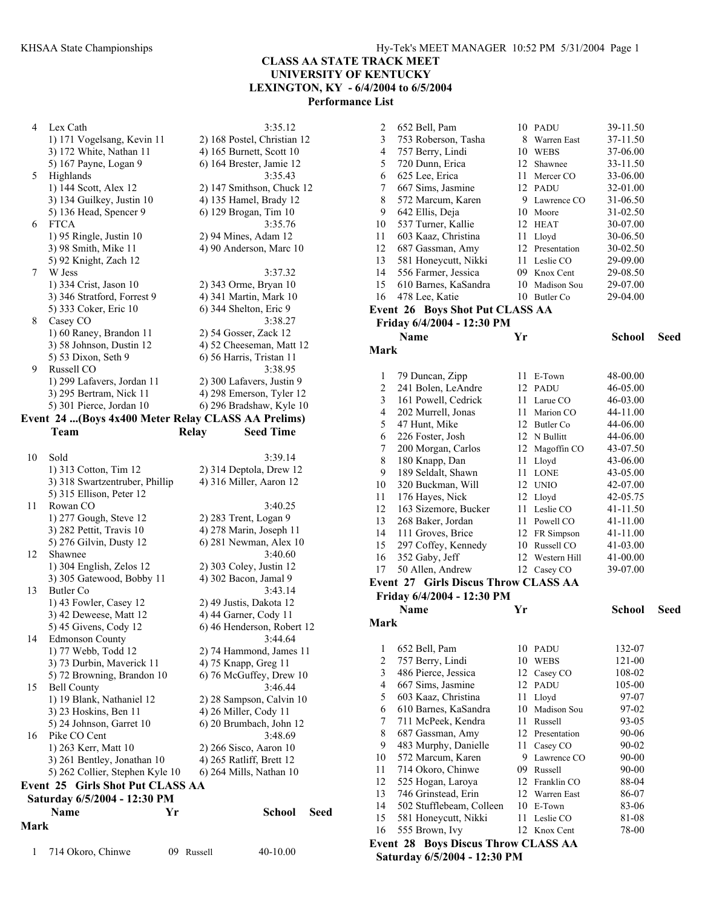#### **CLASS AA STATE TRACK MEET UNIVERSITY OF KENTUCKY**

**LEXINGTON, KY - 6/4/2004 to 6/5/2004** 

**Performance List** 

4 Lex Cath 3:35.12 1) 171 Vogelsang, Kevin 11 2) 168 Postel, Christian 12 3) 172 White, Nathan 11 4) 165 Burnett, Scott 10 5) 167 Payne, Logan 9 6) 164 Brester, Jamie 12 5 Highlands 3:35.43 1) 144 Scott, Alex 12 2) 147 Smithson, Chuck 12 3) 134 Guilkey, Justin 10 4) 135 Hamel, Brady 12 5) 136 Head, Spencer 9 6) 129 Brogan, Tim 10 6 FTCA 3:35.76 1) 95 Ringle, Justin 10 2) 94 Mines, Adam 12 3) 98 Smith, Mike 11 4) 90 Anderson, Marc 10 5) 92 Knight, Zach 12 7 W Jess 3:37.32 1) 334 Crist, Jason 10 2) 343 Orme, Bryan 10 3) 346 Stratford, Forrest 9 4) 341 Martin, Mark 10 5) 333 Coker, Eric 10 6) 344 Shelton, Eric 9 8 Casey CO 3:38.27 1) 60 Raney, Brandon 11 2) 54 Gosser, Zack 12 3) 58 Johnson, Dustin 12 4) 52 Cheeseman, Matt 12 5) 53 Dixon, Seth 9 6) 56 Harris, Tristan 11 9 Russell CO 3:38.95 1) 299 Lafavers, Jordan 11 2) 300 Lafavers, Justin 9 3) 295 Bertram, Nick 11 4) 298 Emerson, Tyler 12 5) 301 Pierce, Jordan 10 6) 296 Bradshaw, Kyle 10 **Event 24 ...(Boys 4x400 Meter Relay CLASS AA Prelims) Team Relay Seed Time**  10 Sold 3:39.14 1) 313 Cotton, Tim 12 2) 314 Deptola, Drew 12 3) 318 Swartzentruber, Phillip 4) 316 Miller, Aaron 12 5) 315 Ellison, Peter 12 11 Rowan CO 3:40.25 1) 277 Gough, Steve 12 2) 283 Trent, Logan 9 3) 282 Pettit, Travis 10 4) 278 Marin, Joseph 11 5) 276 Gilvin, Dusty 12 6) 281 Newman, Alex 10 12 Shawnee 3:40.60 1) 304 English, Zelos 12 2) 303 Coley, Justin 12 3) 305 Gatewood, Bobby 11 4) 302 Bacon, Jamal 9 13 Butler Co 3:43.14 1) 43 Fowler, Casey 12 2) 49 Justis, Dakota 12 3) 42 Deweese, Matt 12 4) 44 Garner, Cody 11 5) 45 Givens, Cody 12 6) 46 Henderson, Robert 12 14 Edmonson County 3:44.64 1) 77 Webb, Todd 12 2) 74 Hammond, James 11 3) 73 Durbin, Maverick 11 4) 75 Knapp, Greg 11 5) 72 Browning, Brandon 10  $\qquad$  6) 76 McGuffey, Drew 10 15 Bell County 3:46.44 1) 19 Blank, Nathaniel 12 2) 28 Sampson, Calvin 10 3) 23 Hoskins, Ben 11 4) 26 Miller, Cody 11 5) 24 Johnson, Garret 10 6) 20 Brumbach, John 12 16 Pike CO Cent 3:48.69 1) 263 Kerr, Matt 10 2) 266 Sisco, Aaron 10 3) 261 Bentley, Jonathan 10 4) 265 Ratliff, Brett 12 5) 262 Collier, Stephen Kyle 10 6) 264 Mills, Nathan 10 **Event 25 Girls Shot Put CLASS AA Saturday 6/5/2004 - 12:30 PM Name Yr School Seed Mark**  1 714 Okoro, Chinwe 09 Russell 40-10.00

| $\overline{\mathbf{c}}$  | 652 Bell, Pam                              |    | 10 PADU                          | 39-11.50       |      |
|--------------------------|--------------------------------------------|----|----------------------------------|----------------|------|
| 3                        | 753 Roberson, Tasha                        | 8  | Warren East                      | 37-11.50       |      |
| $\overline{\mathcal{L}}$ | 757 Berry, Lindi                           |    | 10 WEBS                          | 37-06.00       |      |
| 5                        | 720 Dunn, Erica                            |    | 12 Shawnee                       | 33-11.50       |      |
| 6                        | 625 Lee, Erica                             |    | 11 Mercer CO                     | 33-06.00       |      |
| 7                        | 667 Sims, Jasmine                          |    | 12 PADU                          | 32-01.00       |      |
| 8                        | 572 Marcum, Karen                          |    | 9 Lawrence CO                    | 31-06.50       |      |
| 9                        | 642 Ellis, Deja                            |    | 10 Moore                         | 31-02.50       |      |
| 10                       | 537 Turner, Kallie                         |    | 12 HEAT                          | 30-07.00       |      |
| 11                       | 603 Kaaz, Christina                        |    | 11 Lloyd                         | 30-06.50       |      |
| 12                       | 687 Gassman, Amy                           |    | 12 Presentation                  | 30-02.50       |      |
| 13                       | 581 Honeycutt, Nikki                       |    | 11 Leslie CO                     | 29-09.00       |      |
| 14                       | 556 Farmer, Jessica                        |    | 09 Knox Cent                     | 29-08.50       |      |
| 15                       | 610 Barnes, KaSandra                       |    | 10 Madison Sou                   | 29-07.00       |      |
| 16                       | 478 Lee, Katie                             |    | 10 Butler Co                     | 29-04.00       |      |
|                          | <b>Event 26 Boys Shot Put CLASS AA</b>     |    |                                  |                |      |
|                          | Friday 6/4/2004 - 12:30 PM                 |    |                                  |                |      |
|                          | <b>Name</b>                                | Yr |                                  | <b>School</b>  | Seed |
| <b>Mark</b>              |                                            |    |                                  |                |      |
|                          |                                            |    |                                  |                |      |
| 1                        | 79 Duncan, Zipp                            |    | 11 E-Town                        | 48-00.00       |      |
| 2                        | 241 Bolen, LeAndre                         |    | 12 PADU                          | 46-05.00       |      |
| 3                        | 161 Powell, Cedrick                        | 11 | Larue CO                         | 46-03.00       |      |
| 4                        | 202 Murrell, Jonas                         |    | 11 Marion CO                     | 44-11.00       |      |
| 5                        | 47 Hunt, Mike                              |    | 12 Butler Co                     | 44-06.00       |      |
| 6                        | 226 Foster, Josh                           |    | 12 N Bullitt                     | 44-06.00       |      |
| 7                        | 200 Morgan, Carlos                         |    | 12 Magoffin CO                   | 43-07.50       |      |
| 8                        | 180 Knapp, Dan                             | 11 | Lloyd                            | 43-06.00       |      |
| 9                        | 189 Seldalt, Shawn                         | 11 | <b>LONE</b>                      | 43-05.00       |      |
| 10                       | 320 Buckman, Will                          |    | 12 UNIO                          | 42-07.00       |      |
| 11                       | 176 Hayes, Nick                            |    | 12 Lloyd                         | 42-05.75       |      |
| 12                       | 163 Sizemore, Bucker                       |    | 11 Leslie CO                     | 41-11.50       |      |
| 13                       | 268 Baker, Jordan                          |    | 11 Powell CO                     | 41-11.00       |      |
| 14                       | 111 Groves, Brice                          |    | 12 FR Simpson                    | 41-11.00       |      |
| 15                       | 297 Coffey, Kennedy                        |    | 10 Russell CO                    | 41-03.00       |      |
| 16                       | 352 Gaby, Jeff                             | 12 | Western Hill                     | 41-00.00       |      |
| 17                       | 50 Allen, Andrew                           |    | 12 Casey CO                      | 39-07.00       |      |
|                          | Event 27 Girls Discus Throw CLASS AA       |    |                                  |                |      |
|                          | Friday 6/4/2004 - 12:30 PM                 |    |                                  |                |      |
|                          | Name                                       | Yr |                                  | <b>School</b>  | Seed |
| Mark                     |                                            |    |                                  |                |      |
|                          |                                            |    |                                  |                |      |
| 1                        | 652 Bell, Pam                              | 10 | PADU                             | 132-07         |      |
| $\overline{\mathbf{c}}$  | 757 Berry, Lindi                           |    | 10 WEBS                          | 121-00         |      |
| 3                        | 486 Pierce, Jessica                        |    | 12 Casey CO                      | 108-02         |      |
| $\overline{4}$           | 667 Sims, Jasmine                          |    | 12 PADU                          | 105-00         |      |
| 5                        | 603 Kaaz, Christina                        | 11 | Lloyd                            | 97-07          |      |
| 6                        | 610 Barnes, KaSandra                       | 10 | Madison Sou                      | 97-02          |      |
| 7                        | 711 McPeek, Kendra                         | 11 | Russell                          | 93-05          |      |
| 8                        | 687 Gassman, Amy                           |    | 12 Presentation                  | 90-06          |      |
| 9                        | 483 Murphy, Danielle                       | 11 | Casey CO                         | 90-02          |      |
| 10                       | 572 Marcum, Karen                          | 9. | Lawrence CO                      | 90-00          |      |
| 11<br>12                 | 714 Okoro, Chinwe                          |    | 09 Russell                       | 90-00<br>88-04 |      |
| 13                       | 525 Hogan, Laroya<br>746 Grinstead, Erin   |    | 12 Franklin CO<br>12 Warren East | 86-07          |      |
| 14                       | 502 Stufflebeam, Colleen                   |    | 10 E-Town                        | 83-06          |      |
| 15                       | 581 Honeycutt, Nikki                       | 11 | Leslie CO                        | 81-08          |      |
| 16                       | 555 Brown, Ivy                             |    | 12 Knox Cent                     | 78-00          |      |
|                          | <b>Event 28 Boys Discus Throw CLASS AA</b> |    |                                  |                |      |
|                          | Saturday 6/5/2004 - 12:30 PM               |    |                                  |                |      |
|                          |                                            |    |                                  |                |      |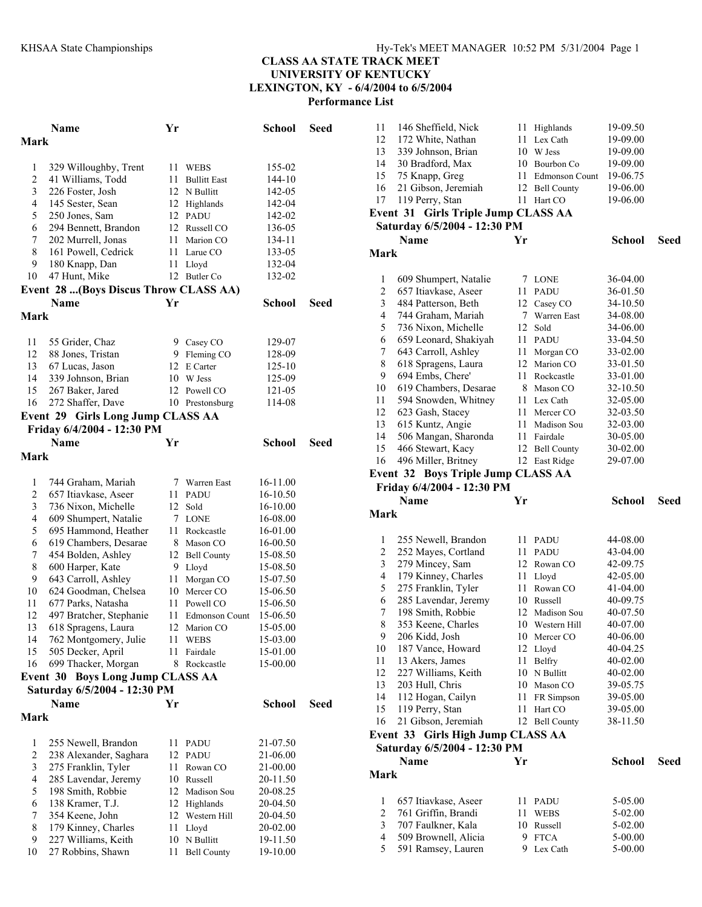## **CLASS AA STATE TRACK MEET UNIVERSITY OF KENTUCKY LEXINGTON, KY - 6/4/2004 to 6/5/2004**

**Performance List** 

|                | <b>Name</b>                            | Yr |                       | School        | <b>Seed</b> |  |
|----------------|----------------------------------------|----|-----------------------|---------------|-------------|--|
| Mark           |                                        |    |                       |               |             |  |
|                |                                        |    |                       |               |             |  |
| 1              | 329 Willoughby, Trent                  | 11 | WEBS                  | 155-02        |             |  |
| $\overline{c}$ | 41 Williams, Todd                      | 11 | <b>Bullitt East</b>   | 144-10        |             |  |
| 3              | 226 Foster, Josh                       |    | 12 N Bullitt          | 142-05        |             |  |
| 4              | 145 Sester, Sean                       |    | 12 Highlands          | 142-04        |             |  |
| 5              | 250 Jones, Sam                         |    | 12 PADU               | 142-02        |             |  |
| 6              | 294 Bennett, Brandon                   |    | 12 Russell CO         | 136-05        |             |  |
| 7              | 202 Murrell, Jonas                     | 11 | Marion CO             | 134-11        |             |  |
| 8              | 161 Powell, Cedrick                    |    | 11 Larue CO           | 133-05        |             |  |
| 9              | 180 Knapp, Dan                         | 11 | Lloyd                 | 132-04        |             |  |
| 10             | 47 Hunt, Mike                          |    | 12 Butler Co          | 132-02        |             |  |
|                | Event 28  (Boys Discus Throw CLASS AA) |    |                       |               |             |  |
|                | Name                                   | Yr |                       | School        | Seed        |  |
| Mark           |                                        |    |                       |               |             |  |
|                |                                        |    |                       |               |             |  |
| 11             | 55 Grider, Chaz                        |    | 9 Casey CO            | 129-07        |             |  |
| 12             | 88 Jones, Tristan                      |    | 9 Fleming CO          | 128-09        |             |  |
| 13             | 67 Lucas, Jason                        | 12 | E Carter              | 125-10        |             |  |
| 14             | 339 Johnson, Brian                     |    | 10 W Jess             | 125-09        |             |  |
| 15             | 267 Baker, Jared                       |    | 12 Powell CO          | 121-05        |             |  |
| 16             | 272 Shaffer, Dave                      |    | 10 Prestonsburg       | 114-08        |             |  |
|                |                                        |    |                       |               |             |  |
|                | Event 29 Girls Long Jump CLASS AA      |    |                       |               |             |  |
|                | Friday 6/4/2004 - 12:30 PM             |    |                       |               |             |  |
|                | <b>Name</b>                            | Yr |                       | <b>School</b> | Seed        |  |
| Mark           |                                        |    |                       |               |             |  |
|                |                                        |    |                       |               |             |  |
| $\mathbf{1}$   | 744 Graham, Mariah                     |    | 7 Warren East         | 16-11.00      |             |  |
| $\overline{c}$ | 657 Itiavkase, Aseer                   |    | 11 PADU               | 16-10.50      |             |  |
| 3              | 736 Nixon, Michelle                    | 12 | Sold                  | 16-10.00      |             |  |
| 4              | 609 Shumpert, Natalie                  | 7  | <b>LONE</b>           | 16-08.00      |             |  |
| 5              | 695 Hammond, Heather                   | 11 | Rockcastle            | 16-01.00      |             |  |
| 6              | 619 Chambers, Desarae                  | 8. | Mason CO              | 16-00.50      |             |  |
| 7              | 454 Bolden, Ashley                     |    | 12 Bell County        | 15-08.50      |             |  |
| 8              | 600 Harper, Kate                       |    | 9 Lloyd               | 15-08.50      |             |  |
| 9              | 643 Carroll, Ashley                    | 11 | Morgan CO             | 15-07.50      |             |  |
| 10             | 624 Goodman, Chelsea                   | 10 | Mercer CO             | 15-06.50      |             |  |
| 11             | 677 Parks, Natasha                     |    | 11 Powell CO          | 15-06.50      |             |  |
| 12             | 497 Bratcher, Stephanie                | 11 | <b>Edmonson Count</b> | 15-06.50      |             |  |
| 13             | 618 Spragens, Laura                    | 12 | Marion CO             | 15-05.00      |             |  |
| 14             | 762 Montgomery, Julie                  | 11 | <b>WEBS</b>           | 15-03.00      |             |  |
| 15             | 505 Decker, April                      | 11 | Fairdale              | 15-01.00      |             |  |
| 16             | 699 Thacker, Morgan                    | 8  | Rockcastle            | 15-00.00      |             |  |
|                | Event 30 Boys Long Jump CLASS AA       |    |                       |               |             |  |
|                | Saturday 6/5/2004 - 12:30 PM           |    |                       |               |             |  |
|                | <b>Name</b>                            | Yr |                       | <b>School</b> | Seed        |  |
| Mark           |                                        |    |                       |               |             |  |
|                |                                        |    |                       |               |             |  |
| 1              | 255 Newell, Brandon                    | 11 | <b>PADU</b>           | 21-07.50      |             |  |
| $\overline{c}$ | 238 Alexander, Saghara                 | 12 | <b>PADU</b>           | 21-06.00      |             |  |
| 3              | 275 Franklin, Tyler                    | 11 | Rowan CO              | 21-00.00      |             |  |
| 4              | 285 Lavendar, Jeremy                   | 10 | Russell               | 20-11.50      |             |  |
| 5              | 198 Smith, Robbie                      | 12 | Madison Sou           | 20-08.25      |             |  |
| 6              | 138 Kramer, T.J.                       | 12 | Highlands             | 20-04.50      |             |  |
| 7              | 354 Keene, John                        |    | 12 Western Hill       | 20-04.50      |             |  |
| 8              | 179 Kinney, Charles                    | 11 | Lloyd                 | 20-02.00      |             |  |
| 9              | 227 Williams, Keith                    | 10 | N Bullitt             | 19-11.50      |             |  |
| 10             | 27 Robbins, Shawn                      | 11 | <b>Bell County</b>    | 19-10.00      |             |  |
|                |                                        |    |                       |               |             |  |

| 11                  | 146 Sheffield, Nick                                              | 11 | Highlands                 | 19-09.50             |      |
|---------------------|------------------------------------------------------------------|----|---------------------------|----------------------|------|
| 12                  | 172 White, Nathan                                                | 11 | Lex Cath                  | 19-09.00             |      |
| 13                  | 339 Johnson, Brian                                               | 10 | W Jess                    | 19-09.00             |      |
| 14                  | 30 Bradford, Max                                                 | 10 | Bourbon Co                | 19-09.00             |      |
| 15                  | 75 Knapp, Greg                                                   | 11 | <b>Edmonson Count</b>     | 19-06.75             |      |
| 16                  | 21 Gibson, Jeremiah                                              | 12 | <b>Bell County</b>        | 19-06.00             |      |
| 17                  | 119 Perry, Stan                                                  | 11 | Hart CO                   | 19-06.00             |      |
|                     | <b>Event 31 Girls Triple Jump CLASS AA</b>                       |    |                           |                      |      |
|                     | Saturday 6/5/2004 - 12:30 PM                                     |    |                           |                      |      |
|                     | <b>Name</b>                                                      | Yr |                           | <b>School</b>        | Seed |
| Mark                |                                                                  |    |                           |                      |      |
|                     |                                                                  |    |                           |                      |      |
| 1                   | 609 Shumpert, Natalie                                            | 7  | LONE                      | 36-04.00             |      |
| $\overline{c}$      | 657 Itiavkase, Aseer                                             | 11 | <b>PADU</b>               | 36-01.50             |      |
| 3                   | 484 Patterson, Beth                                              | 12 | Casey CO                  | 34-10.50             |      |
| 4                   | 744 Graham, Mariah                                               | 7  | Warren East               | 34-08.00             |      |
| 5                   | 736 Nixon, Michelle                                              | 12 | Sold                      | 34-06.00             |      |
| 6                   | 659 Leonard, Shakiyah                                            | 11 | PADU                      | 33-04.50             |      |
| 7                   | 643 Carroll, Ashley                                              | 11 | Morgan CO                 | 33-02.00             |      |
| 8                   | 618 Spragens, Laura                                              | 12 | Marion CO                 | 33-01.50             |      |
| 9                   | 694 Embs, Chere'                                                 | 11 | Rockcastle                | 33-01.00             |      |
| 10                  | 619 Chambers, Desarae                                            | 8  |                           | 32-10.50             |      |
| 11                  | 594 Snowden, Whitney                                             | 11 | Mason CO<br>Lex Cath      | 32-05.00             |      |
| 12                  | 623 Gash, Stacey                                                 | 11 | Mercer CO                 |                      |      |
| 13                  | 615 Kuntz, Angie                                                 | 11 | Madison Sou               | 32-03.50<br>32-03.00 |      |
| 14                  | 506 Mangan, Sharonda                                             | 11 | Fairdale                  | 30-05.00             |      |
| 15                  |                                                                  |    | <b>Bell County</b>        | 30-02.00             |      |
|                     | 466 Stewart, Kacy                                                | 12 |                           |                      |      |
| 16                  | 496 Miller, Britney                                              |    | 12 East Ridge             | 29-07.00             |      |
|                     | Event 32 Boys Triple Jump CLASS AA<br>Friday 6/4/2004 - 12:30 PM |    |                           |                      |      |
|                     |                                                                  |    |                           |                      |      |
|                     |                                                                  |    |                           |                      |      |
|                     | <b>Name</b>                                                      | Yr |                           | <b>School</b>        | Seed |
| Mark                |                                                                  |    |                           |                      |      |
|                     |                                                                  |    |                           |                      |      |
| 1                   | 255 Newell, Brandon                                              | 11 | <b>PADU</b>               | 44-08.00             |      |
| $\overline{c}$      | 252 Mayes, Cortland                                              | 11 | PADU                      | 43-04.00             |      |
| 3                   | 279 Mincey, Sam                                                  | 12 | Rowan CO                  | 42-09.75             |      |
| 4                   | 179 Kinney, Charles                                              | 11 | Lloyd                     | 42-05.00             |      |
| 5                   | 275 Franklin, Tyler                                              | 11 | Rowan CO                  | 41-04.00             |      |
| 6                   | 285 Lavendar, Jeremy                                             | 10 | Russell                   | 40-09.75             |      |
| 7                   | 198 Smith, Robbie                                                | 12 | Madison Sou               | 40-07.50             |      |
| 8                   | 353 Keene, Charles                                               | 10 | Western Hill              | 40-07.00             |      |
| 9                   | 206 Kidd, Josh                                                   |    | 10 Mercer CO              | 40-06.00             |      |
| 10                  | 187 Vance, Howard                                                |    | 12 Lloyd                  | 40-04.25             |      |
| 11                  | 13 Akers, James                                                  | 11 | <b>Belfry</b>             | 40-02.00             |      |
| 12                  | 227 Williams, Keith                                              | 10 | N Bullitt                 | 40-02.00             |      |
| 13                  | 203 Hull, Chris                                                  |    | 10 Mason CO               | 39-05.75             |      |
| 14                  | 112 Hogan, Cailyn                                                | 11 | FR Simpson                | 39-05.00             |      |
| 15                  | 119 Perry, Stan                                                  | 11 | Hart CO                   | 39-05.00             |      |
| 16                  | 21 Gibson, Jeremiah                                              | 12 | <b>Bell County</b>        | 38-11.50             |      |
|                     | <b>Girls High Jump CLASS AA</b><br>Event 33                      |    |                           |                      |      |
|                     | Saturday 6/5/2004 - 12:30 PM                                     |    |                           |                      |      |
|                     | Name                                                             | Yr |                           | <b>School</b>        | Seed |
| <b>Mark</b>         |                                                                  |    |                           |                      |      |
|                     |                                                                  |    |                           |                      |      |
| 1                   | 657 Itiavkase, Aseer                                             | 11 | PADU                      | 5-05.00              |      |
| $\overline{c}$      | 761 Griffin, Brandi                                              | 11 | WEBS                      | 5-02.00              |      |
| 3                   | 707 Faulkner, Kala                                               | 10 | Russell                   | 5-02.00              |      |
| $\overline{4}$<br>5 | 509 Brownell, Alicia<br>591 Ramsey, Lauren                       | 9. | <b>FTCA</b><br>9 Lex Cath | 5-00.00<br>5-00.00   |      |